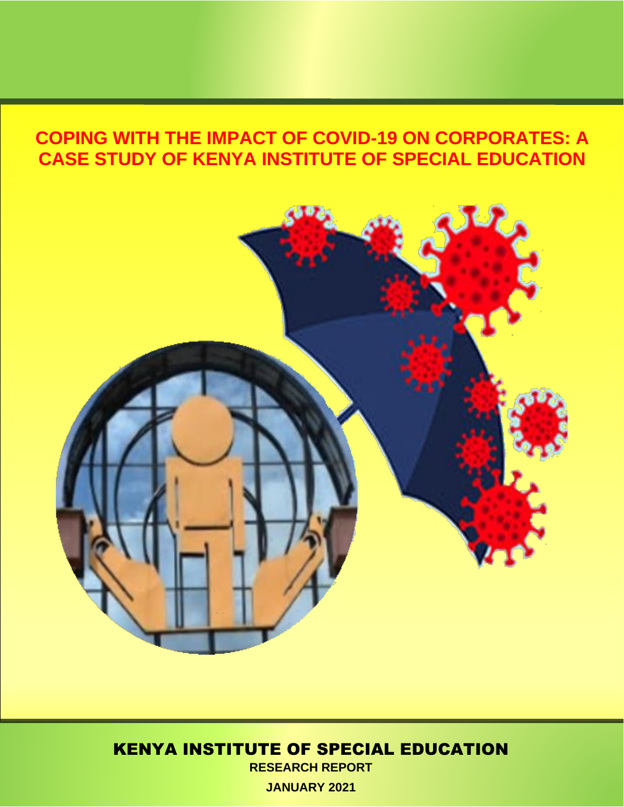# **COPING WITH THE IMPACT OF COVID-19 ON CORPORATES: A CASE STUDY OF KENYA INSTITUTE OF SPECIAL EDUCATION**



0 KENYA INSTITUTE OF SPECIAL EDUCATION

**RESEARCH REPORT**

**JANUARY 2021**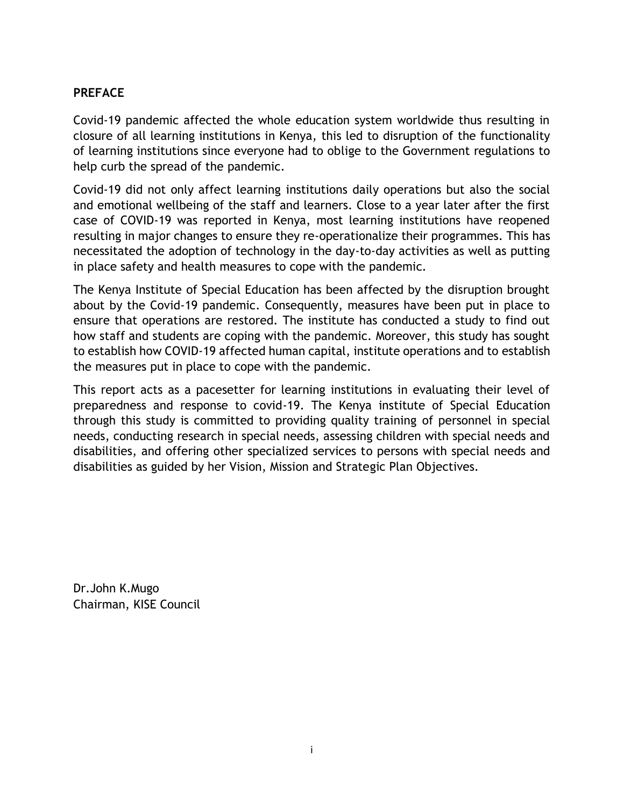## <span id="page-1-0"></span>**PREFACE**

Covid-19 pandemic affected the whole education system worldwide thus resulting in closure of all learning institutions in Kenya, this led to disruption of the functionality of learning institutions since everyone had to oblige to the Government regulations to help curb the spread of the pandemic.

Covid-19 did not only affect learning institutions daily operations but also the social and emotional wellbeing of the staff and learners. Close to a year later after the first case of COVID-19 was reported in Kenya, most learning institutions have reopened resulting in major changes to ensure they re-operationalize their programmes. This has necessitated the adoption of technology in the day-to-day activities as well as putting in place safety and health measures to cope with the pandemic.

The Kenya Institute of Special Education has been affected by the disruption brought about by the Covid-19 pandemic. Consequently, measures have been put in place to ensure that operations are restored. The institute has conducted a study to find out how staff and students are coping with the pandemic. Moreover, this study has sought to establish how COVID-19 affected human capital, institute operations and to establish the measures put in place to cope with the pandemic.

This report acts as a pacesetter for learning institutions in evaluating their level of preparedness and response to covid-19. The Kenya institute of Special Education through this study is committed to providing quality training of personnel in special needs, conducting research in special needs, assessing children with special needs and disabilities, and offering other specialized services to persons with special needs and disabilities as guided by her Vision, Mission and Strategic Plan Objectives.

Dr.John K.Mugo Chairman, KISE Council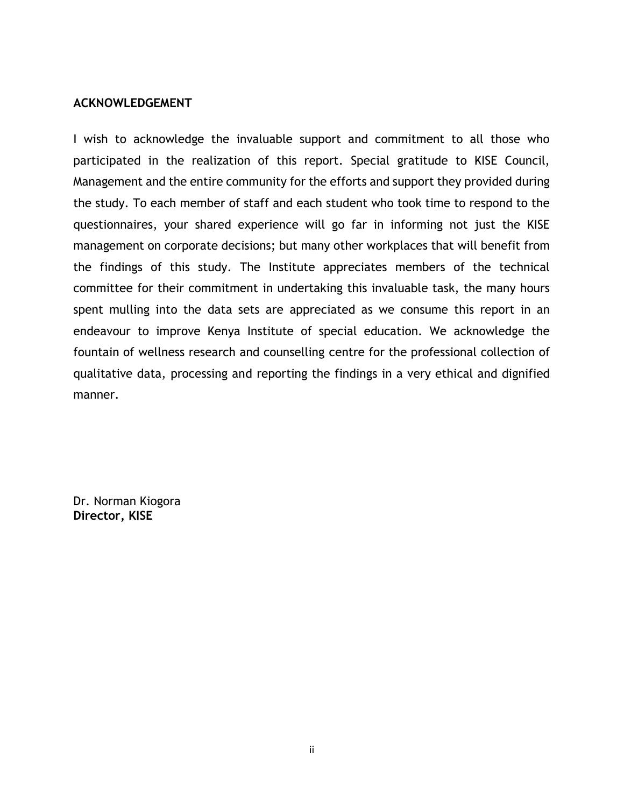#### <span id="page-2-0"></span>**ACKNOWLEDGEMENT**

I wish to acknowledge the invaluable support and commitment to all those who participated in the realization of this report. Special gratitude to KISE Council, Management and the entire community for the efforts and support they provided during the study. To each member of staff and each student who took time to respond to the questionnaires, your shared experience will go far in informing not just the KISE management on corporate decisions; but many other workplaces that will benefit from the findings of this study. The Institute appreciates members of the technical committee for their commitment in undertaking this invaluable task, the many hours spent mulling into the data sets are appreciated as we consume this report in an endeavour to improve Kenya Institute of special education. We acknowledge the fountain of wellness research and counselling centre for the professional collection of qualitative data, processing and reporting the findings in a very ethical and dignified manner.

Dr. Norman Kiogora **Director, KISE**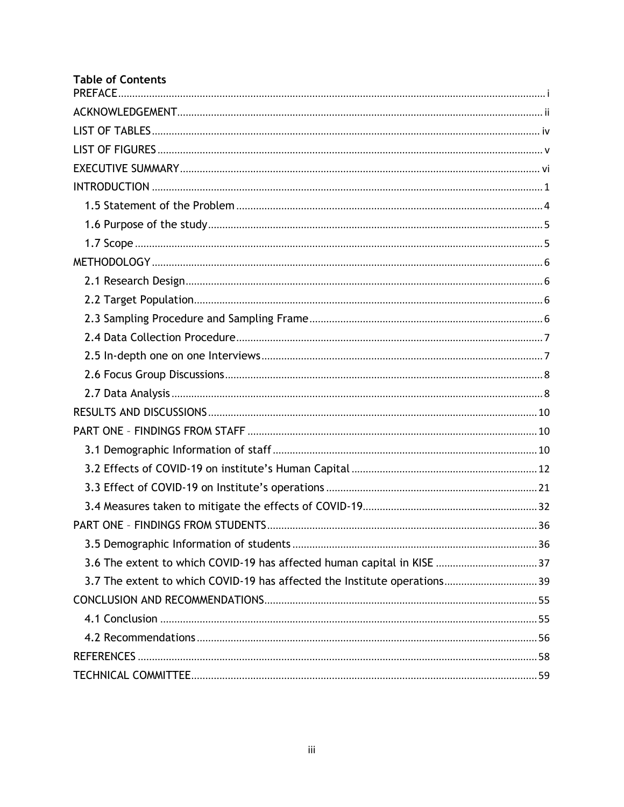| <b>Table of Contents</b> |  |
|--------------------------|--|
|                          |  |
|                          |  |
|                          |  |
|                          |  |
|                          |  |
|                          |  |
|                          |  |
|                          |  |
|                          |  |
|                          |  |
|                          |  |
|                          |  |
|                          |  |
|                          |  |
|                          |  |
|                          |  |
|                          |  |
|                          |  |
|                          |  |
|                          |  |
|                          |  |
|                          |  |
|                          |  |
|                          |  |
|                          |  |
|                          |  |
|                          |  |
|                          |  |
|                          |  |
|                          |  |
|                          |  |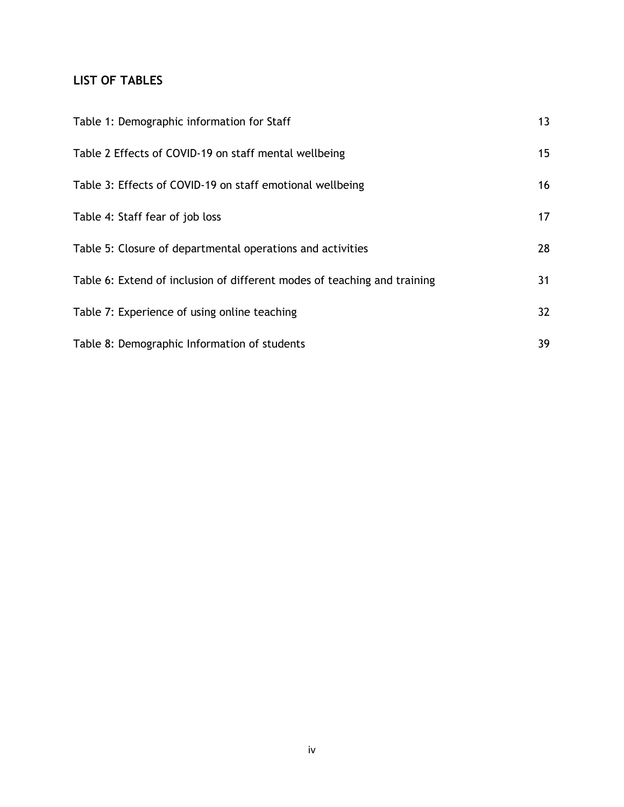## <span id="page-4-0"></span>**LIST OF TABLES**

| Table 1: Demographic information for Staff                               | 13 |
|--------------------------------------------------------------------------|----|
| Table 2 Effects of COVID-19 on staff mental wellbeing                    | 15 |
| Table 3: Effects of COVID-19 on staff emotional wellbeing                | 16 |
| Table 4: Staff fear of job loss                                          | 17 |
| Table 5: Closure of departmental operations and activities               | 28 |
| Table 6: Extend of inclusion of different modes of teaching and training | 31 |
| Table 7: Experience of using online teaching                             | 32 |
| Table 8: Demographic Information of students                             | 39 |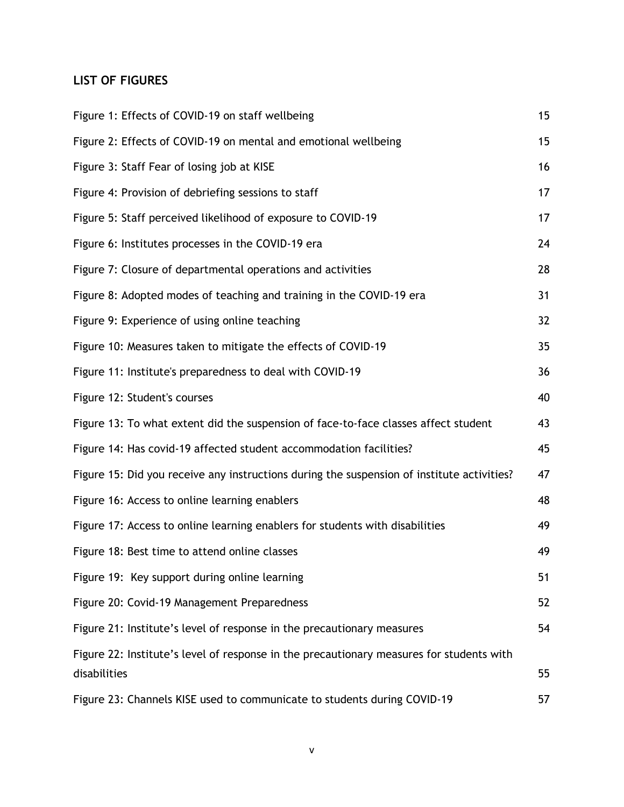## <span id="page-5-0"></span>**LIST OF FIGURES**

| Figure 1: Effects of COVID-19 on staff wellbeing                                           | 15 |
|--------------------------------------------------------------------------------------------|----|
| Figure 2: Effects of COVID-19 on mental and emotional wellbeing                            | 15 |
| Figure 3: Staff Fear of losing job at KISE                                                 | 16 |
| Figure 4: Provision of debriefing sessions to staff                                        | 17 |
| Figure 5: Staff perceived likelihood of exposure to COVID-19                               | 17 |
| Figure 6: Institutes processes in the COVID-19 era                                         | 24 |
| Figure 7: Closure of departmental operations and activities                                | 28 |
| Figure 8: Adopted modes of teaching and training in the COVID-19 era                       | 31 |
| Figure 9: Experience of using online teaching                                              | 32 |
| Figure 10: Measures taken to mitigate the effects of COVID-19                              | 35 |
| Figure 11: Institute's preparedness to deal with COVID-19                                  | 36 |
| Figure 12: Student's courses                                                               | 40 |
| Figure 13: To what extent did the suspension of face-to-face classes affect student        | 43 |
| Figure 14: Has covid-19 affected student accommodation facilities?                         | 45 |
| Figure 15: Did you receive any instructions during the suspension of institute activities? | 47 |
| Figure 16: Access to online learning enablers                                              | 48 |
| Figure 17: Access to online learning enablers for students with disabilities               | 49 |
| Figure 18: Best time to attend online classes                                              | 49 |
| Figure 19: Key support during online learning                                              | 51 |
| Figure 20: Covid-19 Management Preparedness                                                | 52 |
| Figure 21: Institute's level of response in the precautionary measures                     | 54 |
| Figure 22: Institute's level of response in the precautionary measures for students with   |    |
| disabilities                                                                               | 55 |
| Figure 23: Channels KISE used to communicate to students during COVID-19                   | 57 |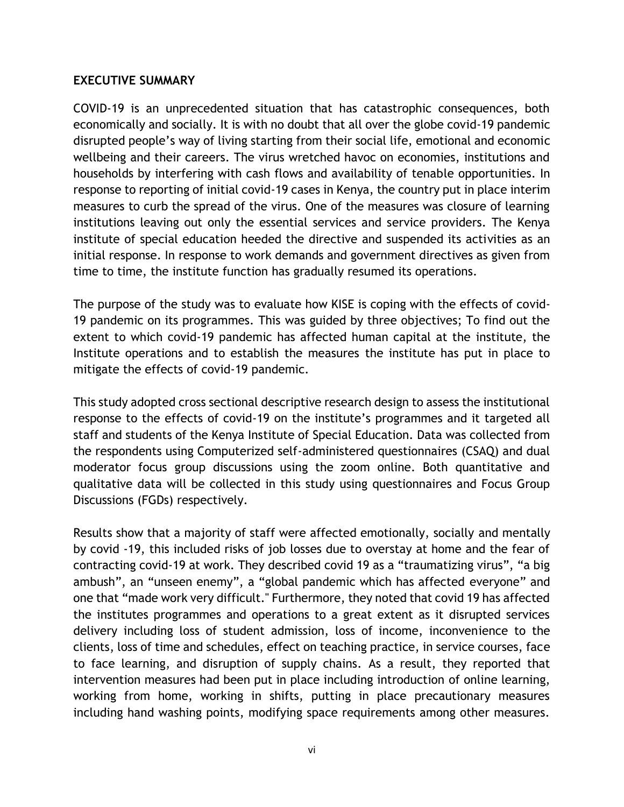#### <span id="page-6-0"></span>**EXECUTIVE SUMMARY**

COVID-19 is an unprecedented situation that has catastrophic consequences, both economically and socially. It is with no doubt that all over the globe covid-19 pandemic disrupted people's way of living starting from their social life, emotional and economic wellbeing and their careers. The virus wretched havoc on economies, institutions and households by interfering with cash flows and availability of tenable opportunities. In response to reporting of initial covid-19 cases in Kenya, the country put in place interim measures to curb the spread of the virus. One of the measures was closure of learning institutions leaving out only the essential services and service providers. The Kenya institute of special education heeded the directive and suspended its activities as an initial response. In response to work demands and government directives as given from time to time, the institute function has gradually resumed its operations.

The purpose of the study was to evaluate how KISE is coping with the effects of covid-19 pandemic on its programmes. This was guided by three objectives; To find out the extent to which covid-19 pandemic has affected human capital at the institute, the Institute operations and to establish the measures the institute has put in place to mitigate the effects of covid-19 pandemic.

This study adopted cross sectional descriptive research design to assess the institutional response to the effects of covid-19 on the institute's programmes and it targeted all staff and students of the Kenya Institute of Special Education. Data was collected from the respondents using Computerized self-administered questionnaires (CSAQ) and dual moderator focus group discussions using the zoom online. Both quantitative and qualitative data will be collected in this study using questionnaires and Focus Group Discussions (FGDs) respectively.

Results show that a majority of staff were affected emotionally, socially and mentally by covid -19, this included risks of job losses due to overstay at home and the fear of contracting covid-19 at work. They described covid 19 as a "traumatizing virus", "a big ambush", an "unseen enemy", a "global pandemic which has affected everyone" and one that "made work very difficult." Furthermore, they noted that covid 19 has affected the institutes programmes and operations to a great extent as it disrupted services delivery including loss of student admission, loss of income, inconvenience to the clients, loss of time and schedules, effect on teaching practice, in service courses, face to face learning, and disruption of supply chains. As a result, they reported that intervention measures had been put in place including introduction of online learning, working from home, working in shifts, putting in place precautionary measures including hand washing points, modifying space requirements among other measures.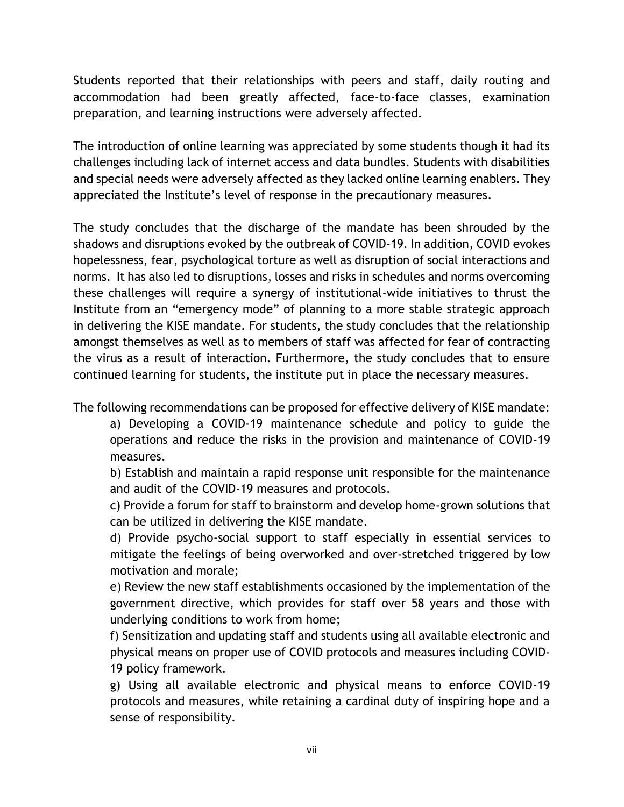Students reported that their relationships with peers and staff, daily routing and accommodation had been greatly affected, face-to-face classes, examination preparation, and learning instructions were adversely affected.

The introduction of online learning was appreciated by some students though it had its challenges including lack of internet access and data bundles. Students with disabilities and special needs were adversely affected as they lacked online learning enablers. They appreciated the Institute's level of response in the precautionary measures.

The study concludes that the discharge of the mandate has been shrouded by the shadows and disruptions evoked by the outbreak of COVID-19. In addition, COVID evokes hopelessness, fear, psychological torture as well as disruption of social interactions and norms. It has also led to disruptions, losses and risks in schedules and norms overcoming these challenges will require a synergy of institutional-wide initiatives to thrust the Institute from an "emergency mode" of planning to a more stable strategic approach in delivering the KISE mandate. For students, the study concludes that the relationship amongst themselves as well as to members of staff was affected for fear of contracting the virus as a result of interaction. Furthermore, the study concludes that to ensure continued learning for students, the institute put in place the necessary measures.

The following recommendations can be proposed for effective delivery of KISE mandate:

a) Developing a COVID-19 maintenance schedule and policy to guide the operations and reduce the risks in the provision and maintenance of COVID-19 measures.

b) Establish and maintain a rapid response unit responsible for the maintenance and audit of the COVID-19 measures and protocols.

c) Provide a forum for staff to brainstorm and develop home-grown solutions that can be utilized in delivering the KISE mandate.

d) Provide psycho-social support to staff especially in essential services to mitigate the feelings of being overworked and over-stretched triggered by low motivation and morale;

e) Review the new staff establishments occasioned by the implementation of the government directive, which provides for staff over 58 years and those with underlying conditions to work from home;

f) Sensitization and updating staff and students using all available electronic and physical means on proper use of COVID protocols and measures including COVID-19 policy framework.

g) Using all available electronic and physical means to enforce COVID-19 protocols and measures, while retaining a cardinal duty of inspiring hope and a sense of responsibility.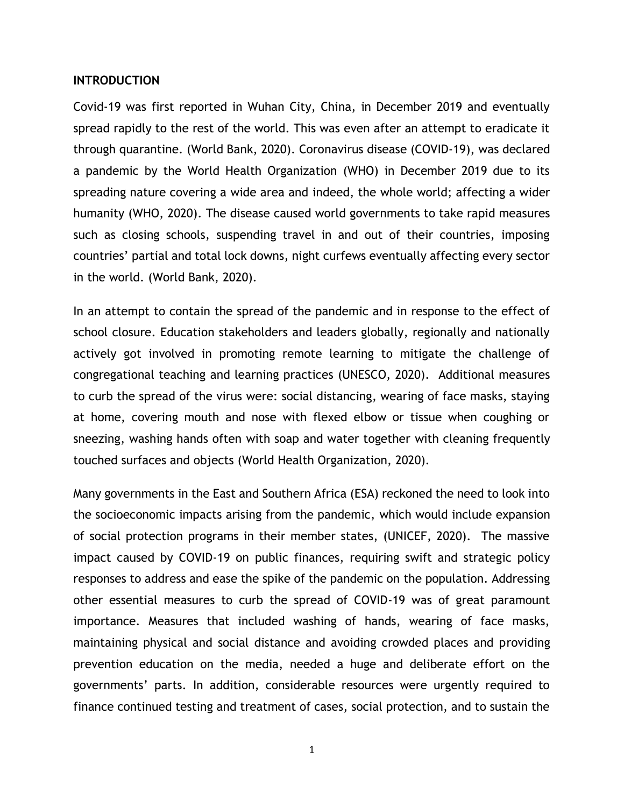#### <span id="page-8-0"></span>**INTRODUCTION**

Covid-19 was first reported in Wuhan City, China, in December 2019 and eventually spread rapidly to the rest of the world. This was even after an attempt to eradicate it through quarantine. (World Bank, 2020). Coronavirus disease (COVID-19), was declared a pandemic by the World Health Organization (WHO) in December 2019 due to its spreading nature covering a wide area and indeed, the whole world; affecting a wider humanity (WHO, 2020). The disease caused world governments to take rapid measures such as closing schools, suspending travel in and out of their countries, imposing countries' partial and total lock downs, night curfews eventually affecting every sector in the world. (World Bank, 2020).

In an attempt to contain the spread of the pandemic and in response to the effect of school closure. Education stakeholders and leaders globally, regionally and nationally actively got involved in promoting remote learning to mitigate the challenge of congregational teaching and learning practices (UNESCO, 2020). Additional measures to curb the spread of the virus were: social distancing, wearing of face masks, staying at home, covering mouth and nose with flexed elbow or tissue when coughing or sneezing, washing hands often with soap and water together with cleaning frequently touched surfaces and objects (World Health Organization, 2020).

Many governments in the East and Southern Africa (ESA) reckoned the need to look into the socioeconomic impacts arising from the pandemic, which would include expansion of social protection programs in their member states, (UNICEF, 2020). The massive impact caused by COVID-19 on public finances, requiring swift and strategic policy responses to address and ease the spike of the pandemic on the population. Addressing other essential measures to curb the spread of COVID-19 was of great paramount importance. Measures that included washing of hands, wearing of face masks, maintaining physical and social distance and avoiding crowded places and providing prevention education on the media, needed a huge and deliberate effort on the governments' parts. In addition, considerable resources were urgently required to finance continued testing and treatment of cases, social protection, and to sustain the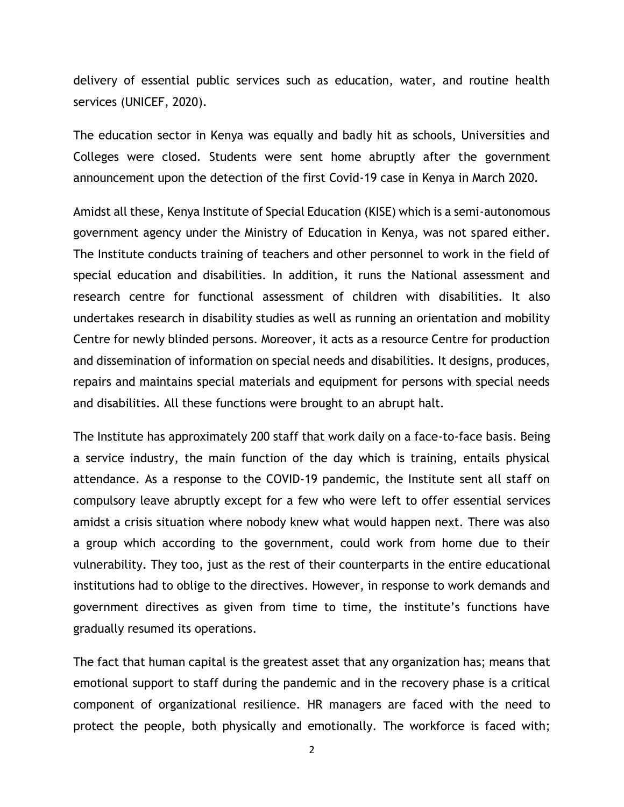delivery of essential public services such as education, water, and routine health services (UNICEF, 2020).

The education sector in Kenya was equally and badly hit as schools, Universities and Colleges were closed. Students were sent home abruptly after the government announcement upon the detection of the first Covid-19 case in Kenya in March 2020.

Amidst all these, Kenya Institute of Special Education (KISE) which is a semi-autonomous government agency under the Ministry of Education in Kenya, was not spared either. The Institute conducts training of teachers and other personnel to work in the field of special education and disabilities. In addition, it runs the National assessment and research centre for functional assessment of children with disabilities. It also undertakes research in disability studies as well as running an orientation and mobility Centre for newly blinded persons. Moreover, it acts as a resource Centre for production and dissemination of information on special needs and disabilities. It designs, produces, repairs and maintains special materials and equipment for persons with special needs and disabilities. All these functions were brought to an abrupt halt.

The Institute has approximately 200 staff that work daily on a face-to-face basis. Being a service industry, the main function of the day which is training, entails physical attendance. As a response to the COVID-19 pandemic, the Institute sent all staff on compulsory leave abruptly except for a few who were left to offer essential services amidst a crisis situation where nobody knew what would happen next. There was also a group which according to the government, could work from home due to their vulnerability. They too, just as the rest of their counterparts in the entire educational institutions had to oblige to the directives. However, in response to work demands and government directives as given from time to time, the institute's functions have gradually resumed its operations.

The fact that human capital is the greatest asset that any organization has; means that emotional support to staff during the pandemic and in the recovery phase is a critical component of organizational resilience. HR managers are faced with the need to protect the people, both physically and emotionally. The workforce is faced with;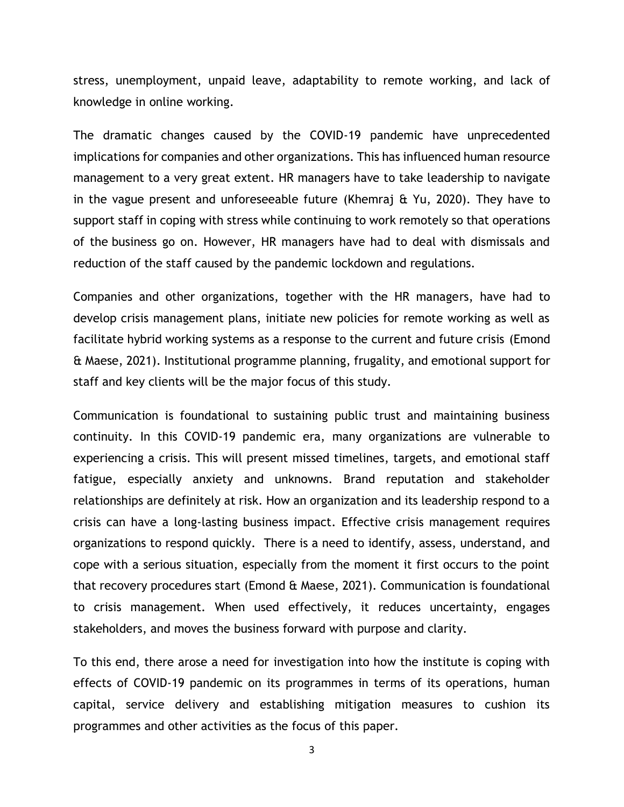stress, unemployment, unpaid leave, adaptability to remote working, and lack of knowledge in online working.

The dramatic changes caused by the COVID-19 pandemic have unprecedented implications for companies and other organizations. This has influenced human resource management to a very great extent. HR managers have to take leadership to navigate in the vague present and unforeseeable future (Khemraj  $\hat{\alpha}$  Yu, 2020). They have to support staff in coping with stress while continuing to work remotely so that operations of the business go on. However, HR managers have had to deal with dismissals and reduction of the staff caused by the pandemic lockdown and regulations.

Companies and other organizations, together with the HR managers, have had to develop crisis management plans, initiate new policies for remote working as well as facilitate hybrid working systems as a response to the current and future crisis (Emond & Maese, 2021). Institutional programme planning, frugality, and emotional support for staff and key clients will be the major focus of this study.

Communication is foundational to sustaining public trust and maintaining business continuity. In this COVID-19 pandemic era, many organizations are vulnerable to experiencing a crisis. This will present missed timelines, targets, and emotional staff fatigue, especially anxiety and unknowns. Brand reputation and stakeholder relationships are definitely at risk. How an organization and its leadership respond to a crisis can have a long-lasting business impact. Effective crisis management requires organizations to respond quickly. There is a need to identify, assess, understand, and cope with a serious situation, especially from the moment it first occurs to the point that recovery procedures start (Emond & Maese, 2021). Communication is foundational to crisis management. When used effectively, it reduces uncertainty, engages stakeholders, and moves the business forward with purpose and clarity.

To this end, there arose a need for investigation into how the institute is coping with effects of COVID-19 pandemic on its programmes in terms of its operations, human capital, service delivery and establishing mitigation measures to cushion its programmes and other activities as the focus of this paper.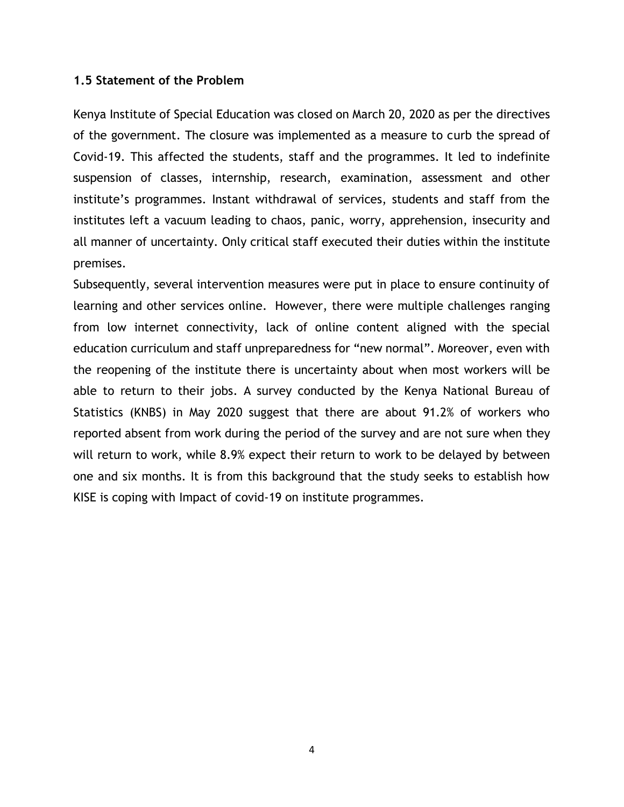#### <span id="page-11-0"></span>**1.5 Statement of the Problem**

Kenya Institute of Special Education was closed on March 20, 2020 as per the directives of the government. The closure was implemented as a measure to curb the spread of Covid-19. This affected the students, staff and the programmes. It led to indefinite suspension of classes, internship, research, examination, assessment and other institute's programmes. Instant withdrawal of services, students and staff from the institutes left a vacuum leading to chaos, panic, worry, apprehension, insecurity and all manner of uncertainty. Only critical staff executed their duties within the institute premises.

Subsequently, several intervention measures were put in place to ensure continuity of learning and other services online. However, there were multiple challenges ranging from low internet connectivity, lack of online content aligned with the special education curriculum and staff unpreparedness for "new normal". Moreover, even with the reopening of the institute there is uncertainty about when most workers will be able to return to their jobs. A survey conducted by the Kenya National Bureau of Statistics (KNBS) in May 2020 suggest that there are about 91.2% of workers who reported absent from work during the period of the survey and are not sure when they will return to work, while 8.9% expect their return to work to be delayed by between one and six months. It is from this background that the study seeks to establish how KISE is coping with Impact of covid-19 on institute programmes.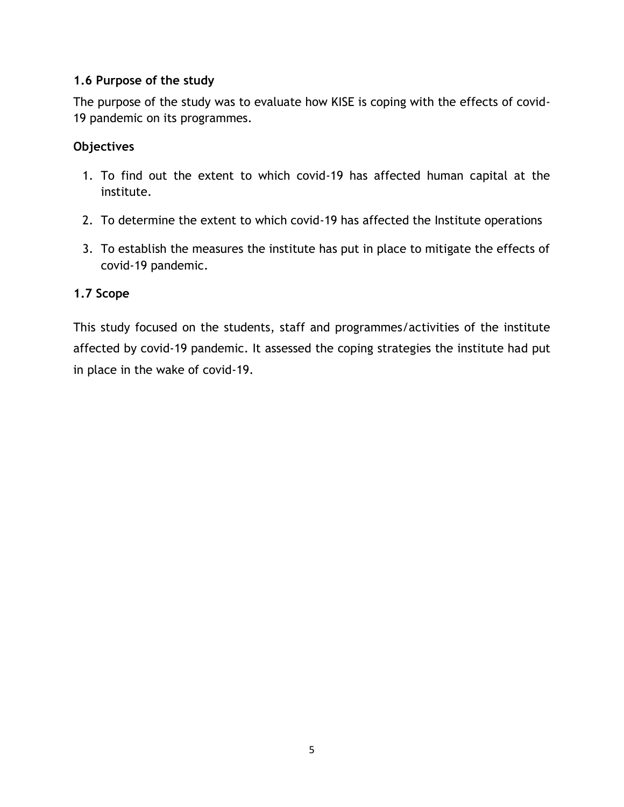## <span id="page-12-0"></span>**1.6 Purpose of the study**

The purpose of the study was to evaluate how KISE is coping with the effects of covid-19 pandemic on its programmes.

## **Objectives**

- 1. To find out the extent to which covid-19 has affected human capital at the institute.
- 2. To determine the extent to which covid-19 has affected the Institute operations
- 3. To establish the measures the institute has put in place to mitigate the effects of covid-19 pandemic.

## <span id="page-12-1"></span>**1.7 Scope**

This study focused on the students, staff and programmes/activities of the institute affected by covid-19 pandemic. It assessed the coping strategies the institute had put in place in the wake of covid-19.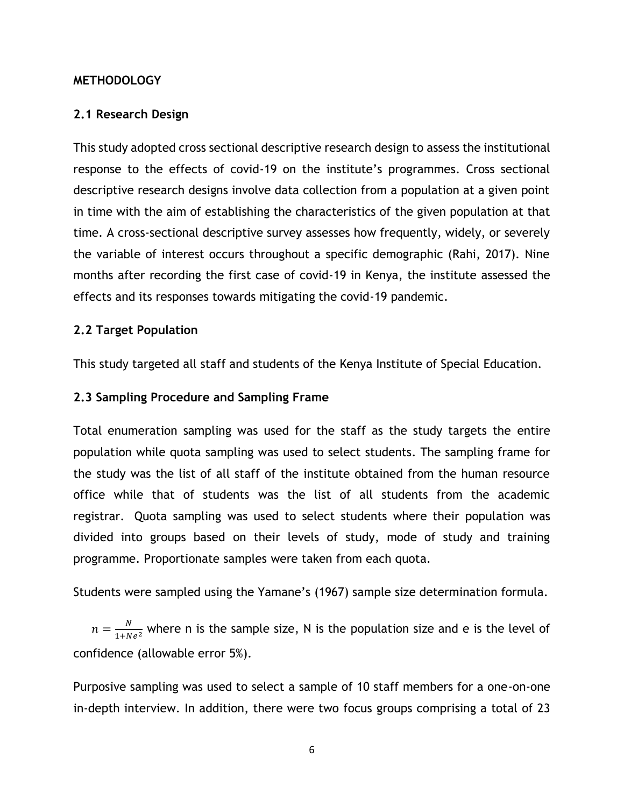#### <span id="page-13-0"></span>**METHODOLOGY**

## <span id="page-13-1"></span>**2.1 Research Design**

This study adopted cross sectional descriptive research design to assess the institutional response to the effects of covid-19 on the institute's programmes. Cross sectional descriptive research designs involve data collection from a population at a given point in time with the aim of establishing the characteristics of the given population at that time. A cross-sectional descriptive survey assesses how frequently, widely, or severely the variable of interest occurs throughout a specific demographic (Rahi, 2017). Nine months after recording the first case of covid-19 in Kenya, the institute assessed the effects and its responses towards mitigating the covid-19 pandemic.

## <span id="page-13-2"></span>**2.2 Target Population**

This study targeted all staff and students of the Kenya Institute of Special Education.

#### <span id="page-13-3"></span>**2.3 Sampling Procedure and Sampling Frame**

Total enumeration sampling was used for the staff as the study targets the entire population while quota sampling was used to select students. The sampling frame for the study was the list of all staff of the institute obtained from the human resource office while that of students was the list of all students from the academic registrar. Quota sampling was used to select students where their population was divided into groups based on their levels of study, mode of study and training programme. Proportionate samples were taken from each quota.

Students were sampled using the Yamane's (1967) sample size determination formula.

 $n=\frac{N}{1+N}$  $\frac{N}{1+N}e^2$  where n is the sample size, N is the population size and e is the level of confidence (allowable error 5%).

Purposive sampling was used to select a sample of 10 staff members for a one-on-one in-depth interview. In addition, there were two focus groups comprising a total of 23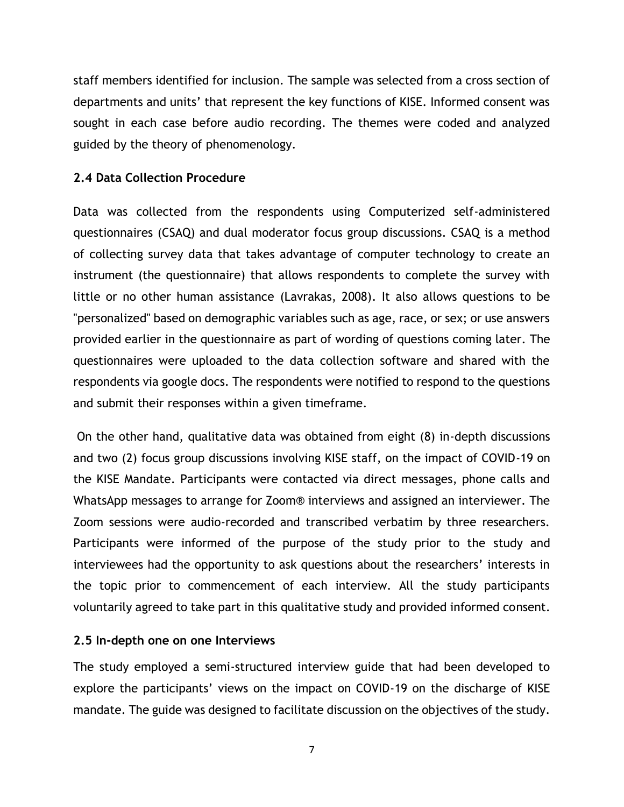staff members identified for inclusion. The sample was selected from a cross section of departments and units' that represent the key functions of KISE. Informed consent was sought in each case before audio recording. The themes were coded and analyzed guided by the theory of phenomenology.

## <span id="page-14-0"></span>**2.4 Data Collection Procedure**

Data was collected from the respondents using Computerized self-administered questionnaires (CSAQ) and dual moderator focus group discussions. CSAQ is a method of collecting survey data that takes advantage of computer technology to create an instrument (the questionnaire) that allows respondents to complete the survey with little or no other human assistance (Lavrakas, 2008). It also allows questions to be "personalized" based on demographic variables such as age, race, or sex; or use answers provided earlier in the questionnaire as part of wording of questions coming later. The questionnaires were uploaded to the data collection software and shared with the respondents via google docs. The respondents were notified to respond to the questions and submit their responses within a given timeframe.

On the other hand, qualitative data was obtained from eight (8) in-depth discussions and two (2) focus group discussions involving KISE staff, on the impact of COVID-19 on the KISE Mandate. Participants were contacted via direct messages, phone calls and WhatsApp messages to arrange for Zoom® interviews and assigned an interviewer. The Zoom sessions were audio-recorded and transcribed verbatim by three researchers. Participants were informed of the purpose of the study prior to the study and interviewees had the opportunity to ask questions about the researchers' interests in the topic prior to commencement of each interview. All the study participants voluntarily agreed to take part in this qualitative study and provided informed consent.

#### <span id="page-14-1"></span>**2.5 In-depth one on one Interviews**

The study employed a semi-structured interview guide that had been developed to explore the participants' views on the impact on COVID-19 on the discharge of KISE mandate. The guide was designed to facilitate discussion on the objectives of the study.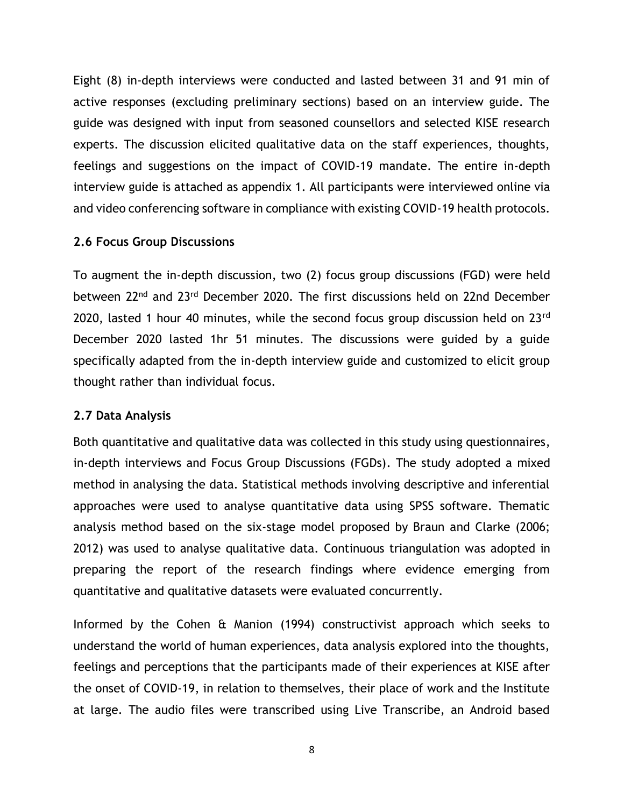Eight (8) in-depth interviews were conducted and lasted between 31 and 91 min of active responses (excluding preliminary sections) based on an interview guide. The guide was designed with input from seasoned counsellors and selected KISE research experts. The discussion elicited qualitative data on the staff experiences, thoughts, feelings and suggestions on the impact of COVID-19 mandate. The entire in-depth interview guide is attached as appendix 1. All participants were interviewed online via and video conferencing software in compliance with existing COVID-19 health protocols.

## <span id="page-15-0"></span>**2.6 Focus Group Discussions**

To augment the in-depth discussion, two (2) focus group discussions (FGD) were held between 22<sup>nd</sup> and 23<sup>rd</sup> December 2020. The first discussions held on 22nd December 2020, lasted 1 hour 40 minutes, while the second focus group discussion held on 23<sup>rd</sup> December 2020 lasted 1hr 51 minutes. The discussions were guided by a guide specifically adapted from the in-depth interview guide and customized to elicit group thought rather than individual focus.

#### <span id="page-15-1"></span>**2.7 Data Analysis**

Both quantitative and qualitative data was collected in this study using questionnaires, in-depth interviews and Focus Group Discussions (FGDs). The study adopted a mixed method in analysing the data. Statistical methods involving descriptive and inferential approaches were used to analyse quantitative data using SPSS software. Thematic analysis method based on the six-stage model proposed by Braun and Clarke (2006; 2012) was used to analyse qualitative data. Continuous triangulation was adopted in preparing the report of the research findings where evidence emerging from quantitative and qualitative datasets were evaluated concurrently.

Informed by the Cohen & Manion (1994) constructivist approach which seeks to understand the world of human experiences, data analysis explored into the thoughts, feelings and perceptions that the participants made of their experiences at KISE after the onset of COVID-19, in relation to themselves, their place of work and the Institute at large. The audio files were transcribed using Live Transcribe, an Android based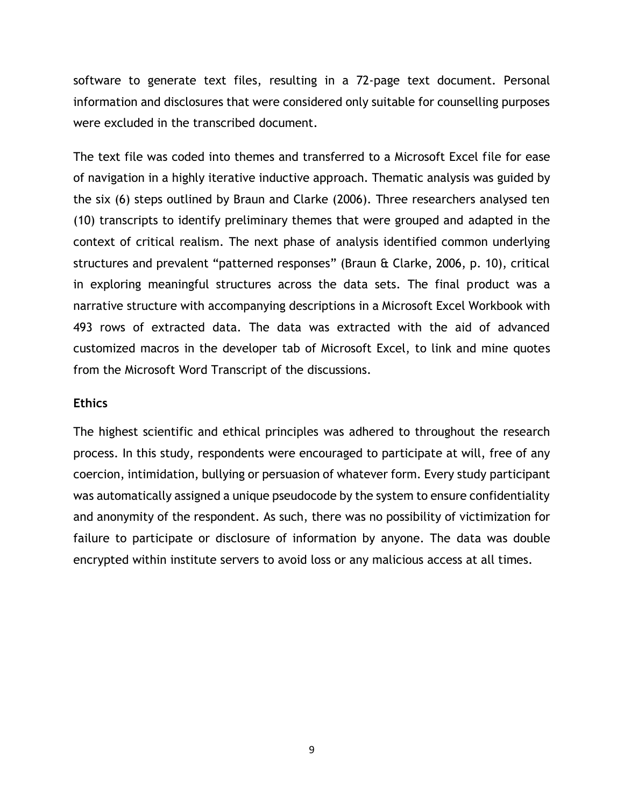software to generate text files, resulting in a 72-page text document. Personal information and disclosures that were considered only suitable for counselling purposes were excluded in the transcribed document.

The text file was coded into themes and transferred to a Microsoft Excel file for ease of navigation in a highly iterative inductive approach. Thematic analysis was guided by the six (6) steps outlined by Braun and Clarke (2006). Three researchers analysed ten (10) transcripts to identify preliminary themes that were grouped and adapted in the context of critical realism. The next phase of analysis identified common underlying structures and prevalent "patterned responses" (Braun & Clarke, 2006, p. 10), critical in exploring meaningful structures across the data sets. The final product was a narrative structure with accompanying descriptions in a Microsoft Excel Workbook with 493 rows of extracted data. The data was extracted with the aid of advanced customized macros in the developer tab of Microsoft Excel, to link and mine quotes from the Microsoft Word Transcript of the discussions.

#### **Ethics**

The highest scientific and ethical principles was adhered to throughout the research process. In this study, respondents were encouraged to participate at will, free of any coercion, intimidation, bullying or persuasion of whatever form. Every study participant was automatically assigned a unique pseudocode by the system to ensure confidentiality and anonymity of the respondent. As such, there was no possibility of victimization for failure to participate or disclosure of information by anyone. The data was double encrypted within institute servers to avoid loss or any malicious access at all times.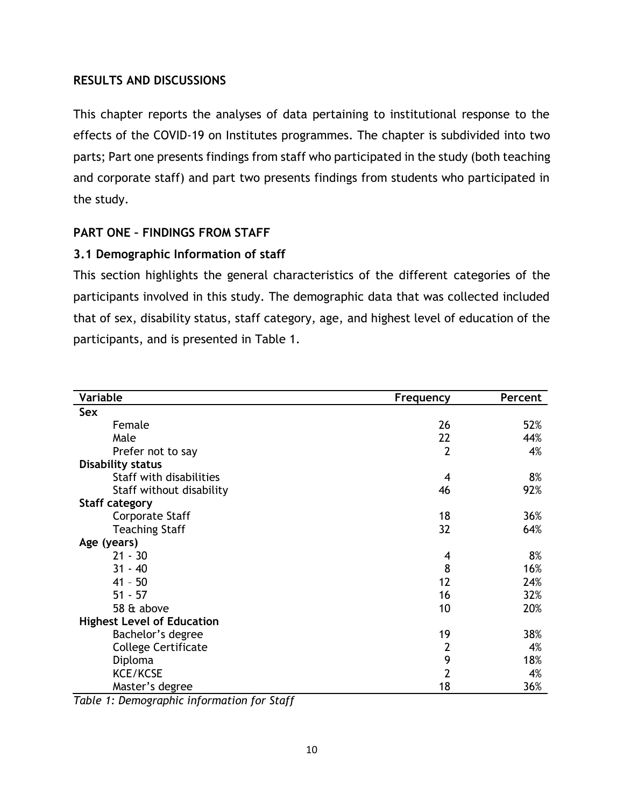## <span id="page-17-0"></span>**RESULTS AND DISCUSSIONS**

This chapter reports the analyses of data pertaining to institutional response to the effects of the COVID-19 on Institutes programmes. The chapter is subdivided into two parts; Part one presents findings from staff who participated in the study (both teaching and corporate staff) and part two presents findings from students who participated in the study.

## <span id="page-17-1"></span>**PART ONE – FINDINGS FROM STAFF**

## <span id="page-17-2"></span>**3.1 Demographic Information of staff**

This section highlights the general characteristics of the different categories of the participants involved in this study. The demographic data that was collected included that of sex, disability status, staff category, age, and highest level of education of the participants, and is presented in Table 1.

<span id="page-17-3"></span>

| Variable                          | Frequency      | Percent |
|-----------------------------------|----------------|---------|
| Sex                               |                |         |
| Female                            | 26             | 52%     |
| Male                              | 22             | 44%     |
| Prefer not to say                 | $\overline{2}$ | 4%      |
| <b>Disability status</b>          |                |         |
| Staff with disabilities           | 4              | 8%      |
| Staff without disability          | 46             | 92%     |
| <b>Staff category</b>             |                |         |
| Corporate Staff                   | 18             | 36%     |
| <b>Teaching Staff</b>             | 32             | 64%     |
| Age (years)                       |                |         |
| $21 - 30$                         | 4              | 8%      |
| $31 - 40$                         | 8              | 16%     |
| $41 - 50$                         | 12             | 24%     |
| $51 - 57$                         | 16             | 32%     |
| 58 & above                        | 10             | 20%     |
| <b>Highest Level of Education</b> |                |         |
| Bachelor's degree                 | 19             | 38%     |
| <b>College Certificate</b>        | $\overline{2}$ | 4%      |
| Diploma                           | 9              | 18%     |
| <b>KCE/KCSE</b>                   | $\overline{2}$ | 4%      |
| Master's degree                   | 18             | 36%     |

*Table 1: Demographic information for Staff*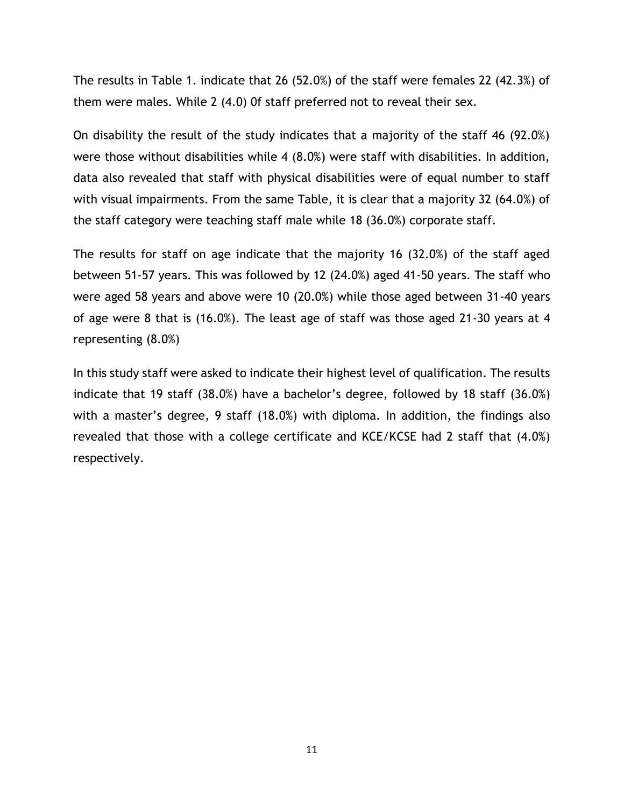The results in Table 1. indicate that 26 (52.0%) of the staff were females 22 (42.3%) of them were males. While 2 (4.0) 0f staff preferred not to reveal their sex.

On disability the result of the study indicates that a majority of the staff 46 (92.0%) were those without disabilities while 4 (8.0%) were staff with disabilities. In addition, data also revealed that staff with physical disabilities were of equal number to staff with visual impairments. From the same Table, it is clear that a majority 32 (64.0%) of the staff category were teaching staff male while 18 (36.0%) corporate staff.

The results for staff on age indicate that the majority 16 (32.0%) of the staff aged between 51-57 years. This was followed by 12 (24.0%) aged 41-50 years. The staff who were aged 58 years and above were 10 (20.0%) while those aged between 31-40 years of age were 8 that is (16.0%). The least age of staff was those aged 21-30 years at 4 representing (8.0%)

In this study staff were asked to indicate their highest level of qualification. The results indicate that 19 staff (38.0%) have a bachelor's degree, followed by 18 staff (36.0%) with a master's degree, 9 staff (18.0%) with diploma. In addition, the findings also revealed that those with a college certificate and KCE/KCSE had 2 staff that (4.0%) respectively.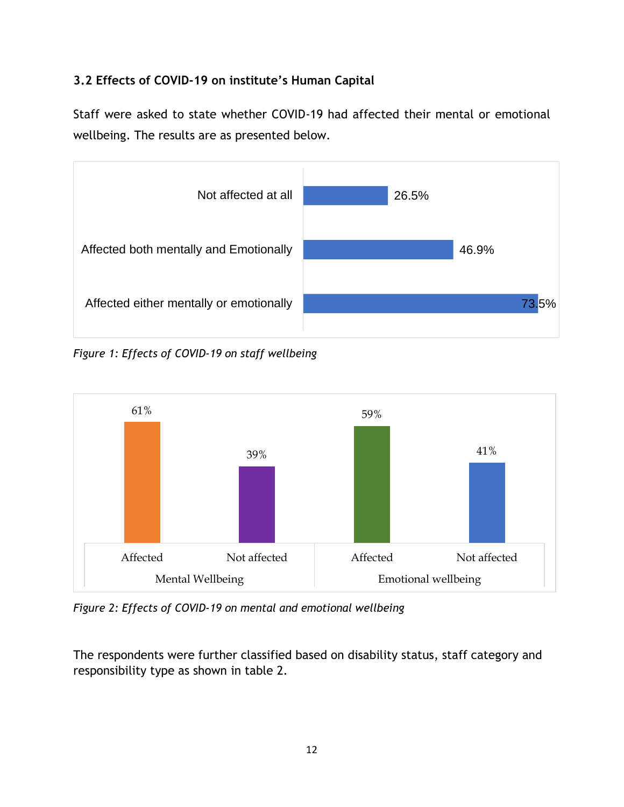## <span id="page-19-0"></span>**3.2 Effects of COVID-19 on institute's Human Capital**

Staff were asked to state whether COVID-19 had affected their mental or emotional wellbeing. The results are as presented below.



<span id="page-19-1"></span>*Figure 1: Effects of COVID-19 on staff wellbeing*



<span id="page-19-2"></span>*Figure 2: Effects of COVID-19 on mental and emotional wellbeing*

The respondents were further classified based on disability status, staff category and responsibility type as shown in table 2.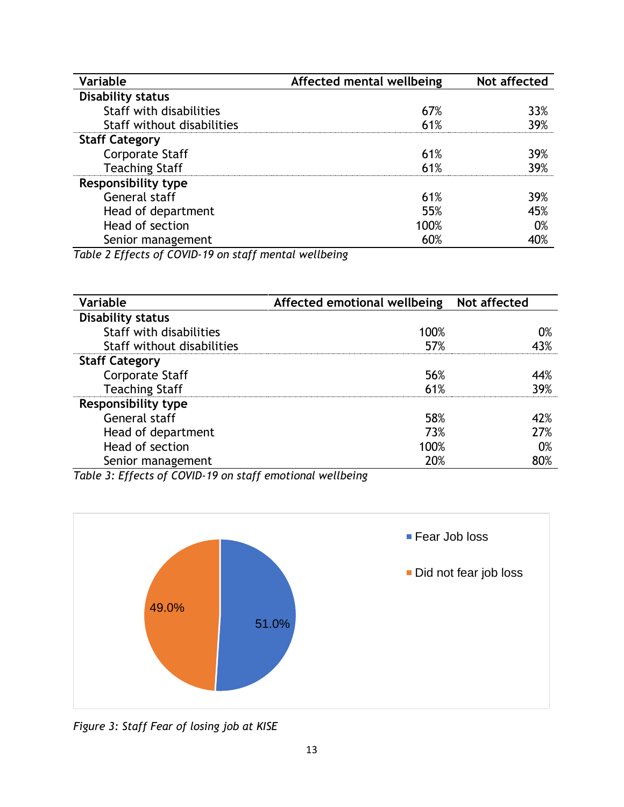<span id="page-20-0"></span>

| Variable                       | Affected mental wellbeing | Not affected |
|--------------------------------|---------------------------|--------------|
| <b>Disability status</b>       |                           |              |
| <b>Staff with disabilities</b> | 67%                       | 33%          |
| Staff without disabilities     | 61%                       | 39%          |
| <b>Staff Category</b>          |                           |              |
| <b>Corporate Staff</b>         | 61%                       | 39%          |
| <b>Teaching Staff</b>          | 61%                       | 39%          |
| <b>Responsibility type</b>     |                           |              |
| General staff                  | 61%                       | 39%          |
| Head of department             | 55%                       | 45%          |
| Head of section                | 100%                      | 0%           |
| Senior management              | 60%                       | 40%          |

<span id="page-20-1"></span>*Table 2 Effects of COVID-19 on staff mental wellbeing*

| Variable                   | Affected emotional wellbeing | <b>Not affected</b> |
|----------------------------|------------------------------|---------------------|
| <b>Disability status</b>   |                              |                     |
| Staff with disabilities    | 100%                         | 0%                  |
| Staff without disabilities | 57%                          | 43%                 |
| <b>Staff Category</b>      |                              |                     |
| <b>Corporate Staff</b>     | 56%                          | 44%                 |
| <b>Teaching Staff</b>      | 61%                          | 39%                 |
| <b>Responsibility type</b> |                              |                     |
| General staff              | 58%                          | 42%                 |
| Head of department         | 73%                          | 27%                 |
| Head of section            | 100%                         | 0%                  |
| Senior management          | 20%                          | 80%                 |

*Table 3: Effects of COVID-19 on staff emotional wellbeing*



<span id="page-20-2"></span>*Figure 3: Staff Fear of losing job at KISE*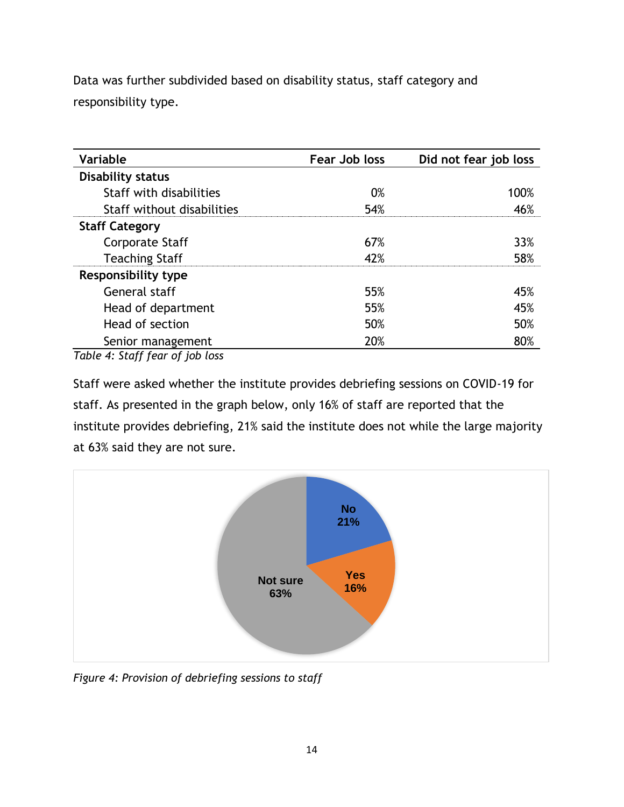Data was further subdivided based on disability status, staff category and responsibility type.

<span id="page-21-0"></span>

| Variable                   | Fear Job loss | Did not fear job loss |
|----------------------------|---------------|-----------------------|
| <b>Disability status</b>   |               |                       |
| Staff with disabilities    | 0%            | 100%                  |
| Staff without disabilities | 54%           | 46%                   |
| <b>Staff Category</b>      |               |                       |
| <b>Corporate Staff</b>     | 67%           | 33%                   |
| <b>Teaching Staff</b>      | 42%           | 58%                   |
| <b>Responsibility type</b> |               |                       |
| General staff              | 55%           | 45%                   |
| Head of department         | 55%           | 45%                   |
| Head of section            | 50%           | 50%                   |
| Senior management          | 20%           | 80%                   |

*Table 4: Staff fear of job loss*

Staff were asked whether the institute provides debriefing sessions on COVID-19 for staff. As presented in the graph below, only 16% of staff are reported that the institute provides debriefing, 21% said the institute does not while the large majority at 63% said they are not sure.

<span id="page-21-1"></span>

*Figure 4: Provision of debriefing sessions to staff*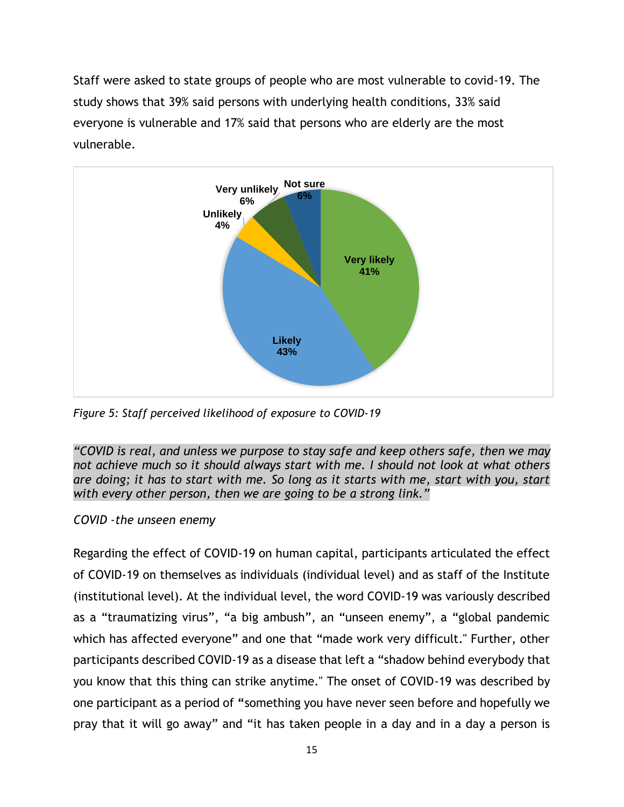Staff were asked to state groups of people who are most vulnerable to covid-19. The study shows that 39% said persons with underlying health conditions, 33% said everyone is vulnerable and 17% said that persons who are elderly are the most vulnerable.

<span id="page-22-0"></span>

*Figure 5: Staff perceived likelihood of exposure to COVID-19*

*"COVID is real, and unless we purpose to stay safe and keep others safe, then we may not achieve much so it should always start with me. I should not look at what others are doing; it has to start with me. So long as it starts with me, start with you, start with every other person, then we are going to be a strong link."*

## *COVID -the unseen enemy*

Regarding the effect of COVID-19 on human capital, participants articulated the effect of COVID-19 on themselves as individuals (individual level) and as staff of the Institute (institutional level). At the individual level, the word COVID-19 was variously described as a "traumatizing virus", "a big ambush", an "unseen enemy", a "global pandemic which has affected everyone" and one that "made work very difficult." Further, other participants described COVID-19 as a disease that left a "shadow behind everybody that you know that this thing can strike anytime." The onset of COVID-19 was described by one participant as a period of **"**something you have never seen before and hopefully we pray that it will go away" and "it has taken people in a day and in a day a person is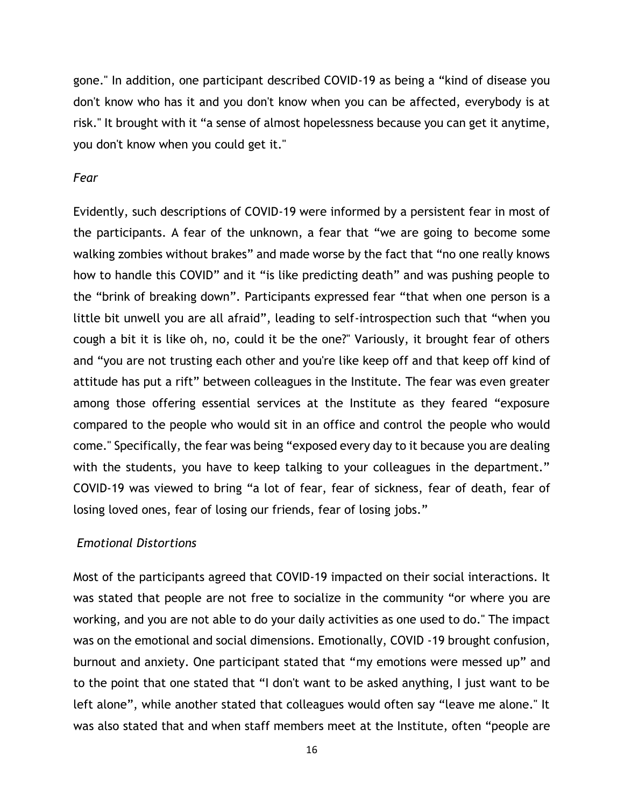gone." In addition, one participant described COVID-19 as being a "kind of disease you don't know who has it and you don't know when you can be affected, everybody is at risk." It brought with it "a sense of almost hopelessness because you can get it anytime, you don't know when you could get it."

#### *Fear*

Evidently, such descriptions of COVID-19 were informed by a persistent fear in most of the participants. A fear of the unknown, a fear that "we are going to become some walking zombies without brakes" and made worse by the fact that "no one really knows how to handle this COVID" and it "is like predicting death" and was pushing people to the "brink of breaking down". Participants expressed fear "that when one person is a little bit unwell you are all afraid", leading to self-introspection such that "when you cough a bit it is like oh, no, could it be the one?" Variously, it brought fear of others and "you are not trusting each other and you're like keep off and that keep off kind of attitude has put a rift" between colleagues in the Institute. The fear was even greater among those offering essential services at the Institute as they feared "exposure compared to the people who would sit in an office and control the people who would come." Specifically, the fear was being "exposed every day to it because you are dealing with the students, you have to keep talking to your colleagues in the department." COVID-19 was viewed to bring "a lot of fear, fear of sickness, fear of death, fear of losing loved ones, fear of losing our friends, fear of losing jobs."

#### *Emotional Distortions*

Most of the participants agreed that COVID-19 impacted on their social interactions. It was stated that people are not free to socialize in the community "or where you are working, and you are not able to do your daily activities as one used to do." The impact was on the emotional and social dimensions. Emotionally, COVID -19 brought confusion, burnout and anxiety. One participant stated that "my emotions were messed up" and to the point that one stated that "I don't want to be asked anything, I just want to be left alone", while another stated that colleagues would often say "leave me alone." It was also stated that and when staff members meet at the Institute, often "people are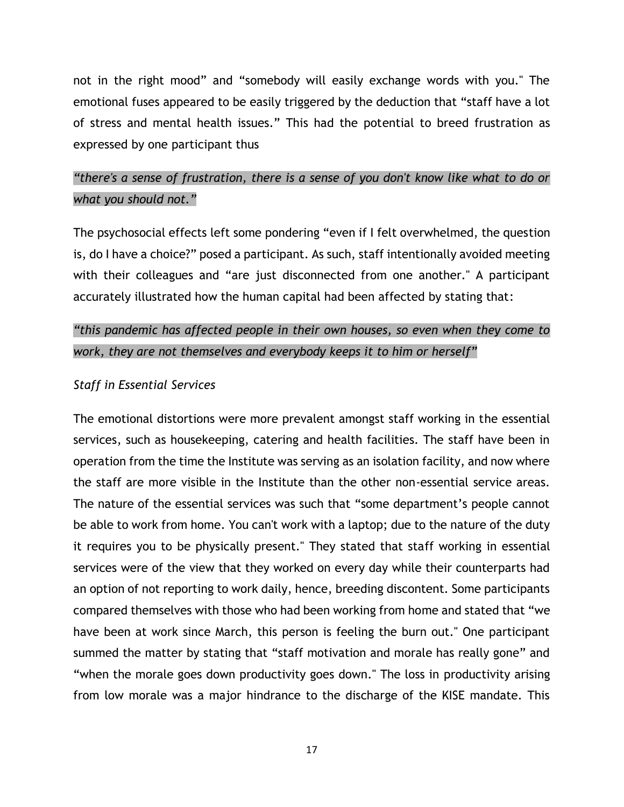not in the right mood" and "somebody will easily exchange words with you." The emotional fuses appeared to be easily triggered by the deduction that "staff have a lot of stress and mental health issues." This had the potential to breed frustration as expressed by one participant thus

## *"there's a sense of frustration, there is a sense of you don't know like what to do or what you should not."*

The psychosocial effects left some pondering "even if I felt overwhelmed, the question is, do I have a choice?" posed a participant. As such, staff intentionally avoided meeting with their colleagues and "are just disconnected from one another." A participant accurately illustrated how the human capital had been affected by stating that:

## *"this pandemic has affected people in their own houses, so even when they come to work, they are not themselves and everybody keeps it to him or herself"*

## *Staff in Essential Services*

The emotional distortions were more prevalent amongst staff working in the essential services, such as housekeeping, catering and health facilities. The staff have been in operation from the time the Institute was serving as an isolation facility, and now where the staff are more visible in the Institute than the other non-essential service areas. The nature of the essential services was such that "some department's people cannot be able to work from home. You can't work with a laptop; due to the nature of the duty it requires you to be physically present." They stated that staff working in essential services were of the view that they worked on every day while their counterparts had an option of not reporting to work daily, hence, breeding discontent. Some participants compared themselves with those who had been working from home and stated that "we have been at work since March, this person is feeling the burn out." One participant summed the matter by stating that "staff motivation and morale has really gone" and "when the morale goes down productivity goes down." The loss in productivity arising from low morale was a major hindrance to the discharge of the KISE mandate. This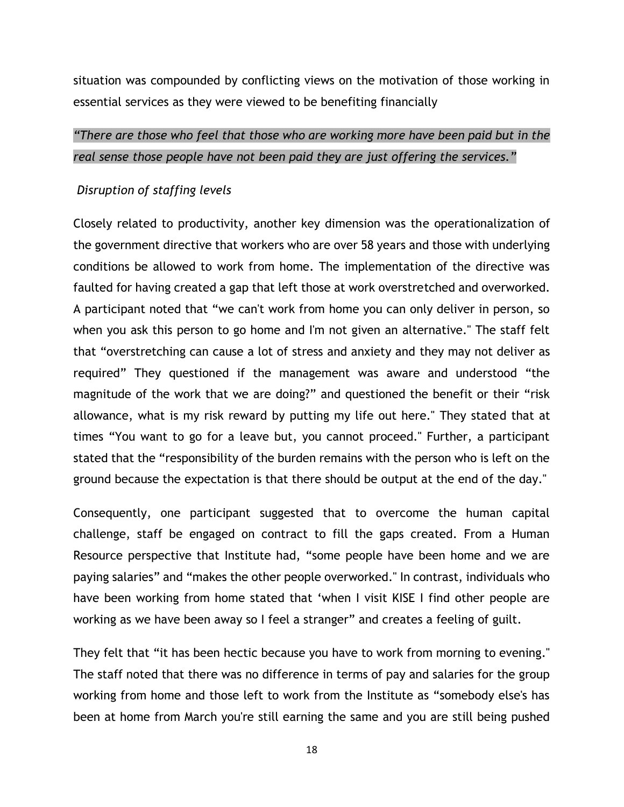situation was compounded by conflicting views on the motivation of those working in essential services as they were viewed to be benefiting financially

## *"There are those who feel that those who are working more have been paid but in the real sense those people have not been paid they are just offering the services."*

#### *Disruption of staffing levels*

Closely related to productivity, another key dimension was the operationalization of the government directive that workers who are over 58 years and those with underlying conditions be allowed to work from home. The implementation of the directive was faulted for having created a gap that left those at work overstretched and overworked. A participant noted that "we can't work from home you can only deliver in person, so when you ask this person to go home and I'm not given an alternative." The staff felt that "overstretching can cause a lot of stress and anxiety and they may not deliver as required" They questioned if the management was aware and understood "the magnitude of the work that we are doing?" and questioned the benefit or their "risk allowance, what is my risk reward by putting my life out here." They stated that at times "You want to go for a leave but, you cannot proceed." Further, a participant stated that the "responsibility of the burden remains with the person who is left on the ground because the expectation is that there should be output at the end of the day."

Consequently, one participant suggested that to overcome the human capital challenge, staff be engaged on contract to fill the gaps created. From a Human Resource perspective that Institute had, "some people have been home and we are paying salaries" and "makes the other people overworked." In contrast, individuals who have been working from home stated that 'when I visit KISE I find other people are working as we have been away so I feel a stranger" and creates a feeling of guilt.

They felt that "it has been hectic because you have to work from morning to evening." The staff noted that there was no difference in terms of pay and salaries for the group working from home and those left to work from the Institute as "somebody else's has been at home from March you're still earning the same and you are still being pushed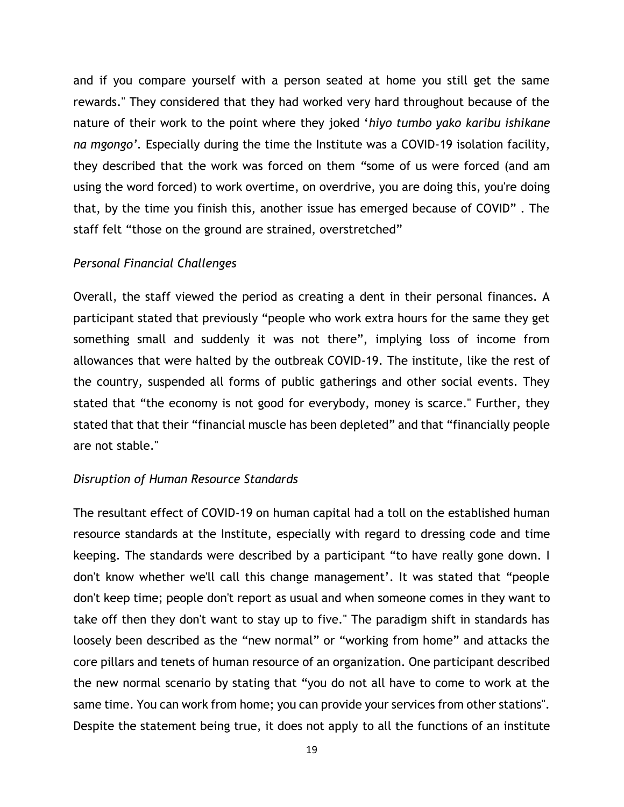and if you compare yourself with a person seated at home you still get the same rewards." They considered that they had worked very hard throughout because of the nature of their work to the point where they joked '*hiyo tumbo yako karibu ishikane na mgongo'.* Especially during the time the Institute was a COVID-19 isolation facility, they described that the work was forced on them *"*some of us were forced (and am using the word forced) to work overtime, on overdrive, you are doing this, you're doing that, by the time you finish this, another issue has emerged because of COVID" . The staff felt "those on the ground are strained, overstretched"

#### *Personal Financial Challenges*

Overall, the staff viewed the period as creating a dent in their personal finances. A participant stated that previously "people who work extra hours for the same they get something small and suddenly it was not there", implying loss of income from allowances that were halted by the outbreak COVID-19. The institute, like the rest of the country, suspended all forms of public gatherings and other social events. They stated that "the economy is not good for everybody, money is scarce." Further, they stated that that their "financial muscle has been depleted" and that "financially people are not stable."

#### *Disruption of Human Resource Standards*

The resultant effect of COVID-19 on human capital had a toll on the established human resource standards at the Institute, especially with regard to dressing code and time keeping. The standards were described by a participant "to have really gone down. I don't know whether we'll call this change management'. It was stated that "people don't keep time; people don't report as usual and when someone comes in they want to take off then they don't want to stay up to five." The paradigm shift in standards has loosely been described as the "new normal" or "working from home" and attacks the core pillars and tenets of human resource of an organization. One participant described the new normal scenario by stating that "you do not all have to come to work at the same time. You can work from home; you can provide your services from other stations''. Despite the statement being true, it does not apply to all the functions of an institute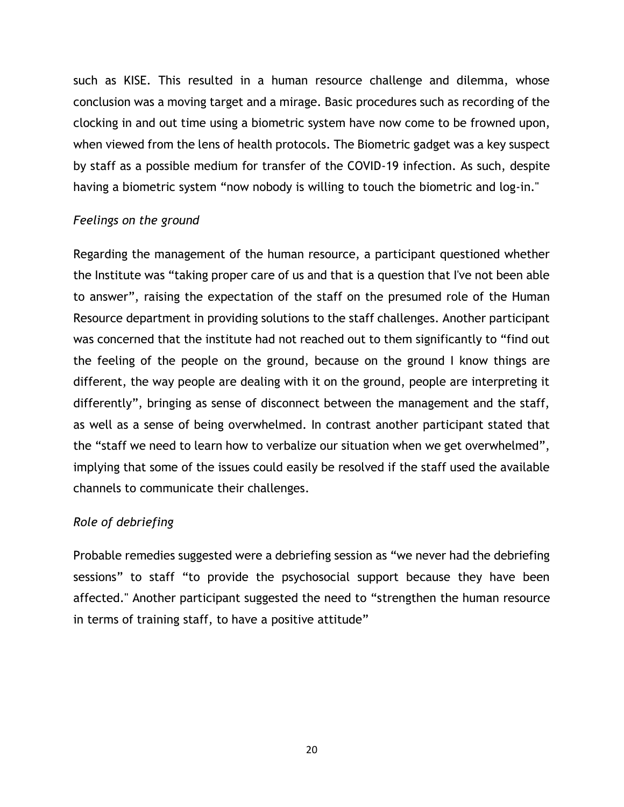such as KISE. This resulted in a human resource challenge and dilemma, whose conclusion was a moving target and a mirage. Basic procedures such as recording of the clocking in and out time using a biometric system have now come to be frowned upon, when viewed from the lens of health protocols. The Biometric gadget was a key suspect by staff as a possible medium for transfer of the COVID-19 infection. As such, despite having a biometric system "now nobody is willing to touch the biometric and log-in."

#### *Feelings on the ground*

Regarding the management of the human resource, a participant questioned whether the Institute was "taking proper care of us and that is a question that I've not been able to answer", raising the expectation of the staff on the presumed role of the Human Resource department in providing solutions to the staff challenges. Another participant was concerned that the institute had not reached out to them significantly to "find out the feeling of the people on the ground, because on the ground I know things are different, the way people are dealing with it on the ground, people are interpreting it differently", bringing as sense of disconnect between the management and the staff, as well as a sense of being overwhelmed. In contrast another participant stated that the "staff we need to learn how to verbalize our situation when we get overwhelmed", implying that some of the issues could easily be resolved if the staff used the available channels to communicate their challenges.

#### *Role of debriefing*

Probable remedies suggested were a debriefing session as "we never had the debriefing sessions" to staff "to provide the psychosocial support because they have been affected." Another participant suggested the need to "strengthen the human resource in terms of training staff, to have a positive attitude"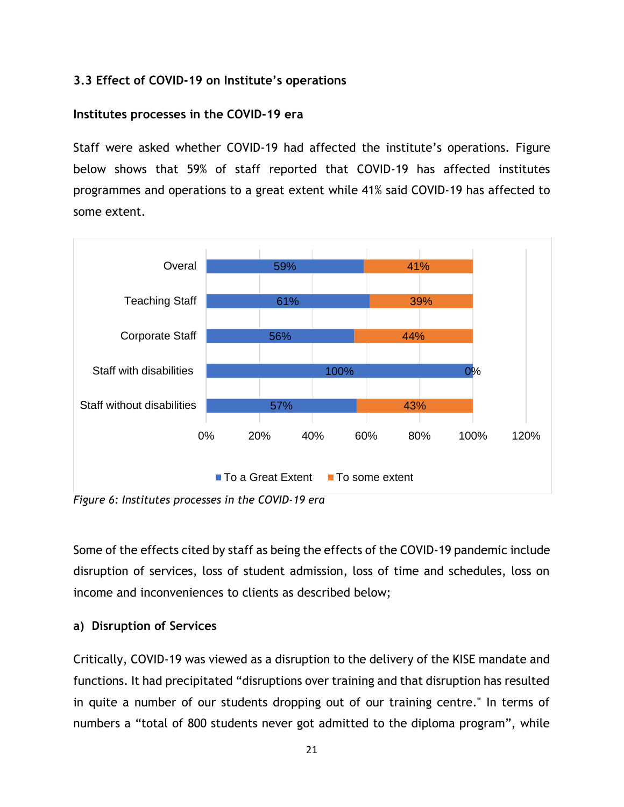## <span id="page-28-0"></span>**3.3 Effect of COVID-19 on Institute's operations**

## **Institutes processes in the COVID-19 era**

Staff were asked whether COVID-19 had affected the institute's operations. Figure below shows that 59% of staff reported that COVID-19 has affected institutes programmes and operations to a great extent while 41% said COVID-19 has affected to some extent.



<span id="page-28-1"></span>*Figure 6: Institutes processes in the COVID-19 era*

Some of the effects cited by staff as being the effects of the COVID-19 pandemic include disruption of services, loss of student admission, loss of time and schedules, loss on income and inconveniences to clients as described below;

## **a) Disruption of Services**

Critically, COVID-19 was viewed as a disruption to the delivery of the KISE mandate and functions. It had precipitated "disruptions over training and that disruption has resulted in quite a number of our students dropping out of our training centre." In terms of numbers a "total of 800 students never got admitted to the diploma program", while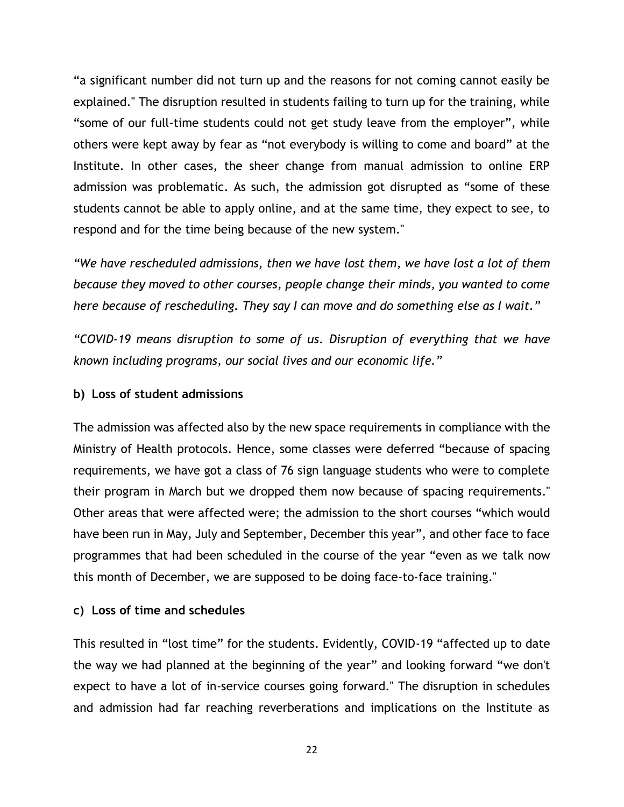"a significant number did not turn up and the reasons for not coming cannot easily be explained." The disruption resulted in students failing to turn up for the training, while "some of our full-time students could not get study leave from the employer", while others were kept away by fear as "not everybody is willing to come and board" at the Institute. In other cases, the sheer change from manual admission to online ERP admission was problematic. As such, the admission got disrupted as "some of these students cannot be able to apply online, and at the same time, they expect to see, to respond and for the time being because of the new system."

*"We have rescheduled admissions, then we have lost them, we have lost a lot of them because they moved to other courses, people change their minds, you wanted to come here because of rescheduling. They say I can move and do something else as I wait."*

*"COVID-19 means disruption to some of us. Disruption of everything that we have known including programs, our social lives and our economic life."* 

#### **b) Loss of student admissions**

The admission was affected also by the new space requirements in compliance with the Ministry of Health protocols. Hence, some classes were deferred "because of spacing requirements, we have got a class of 76 sign language students who were to complete their program in March but we dropped them now because of spacing requirements." Other areas that were affected were; the admission to the short courses "which would have been run in May, July and September, December this year", and other face to face programmes that had been scheduled in the course of the year "even as we talk now this month of December, we are supposed to be doing face-to-face training."

#### **c) Loss of time and schedules**

This resulted in "lost time" for the students. Evidently, COVID-19 "affected up to date the way we had planned at the beginning of the year" and looking forward "we don't expect to have a lot of in-service courses going forward." The disruption in schedules and admission had far reaching reverberations and implications on the Institute as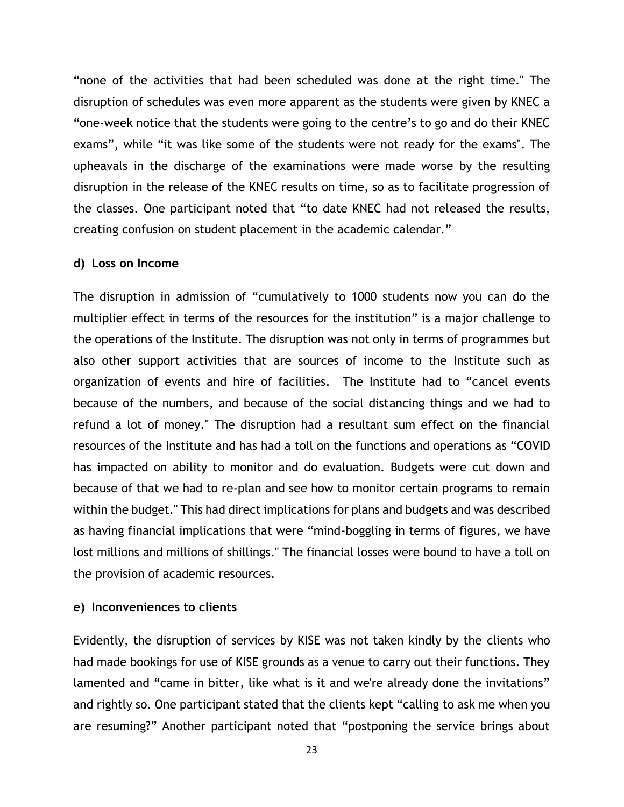"none of the activities that had been scheduled was done at the right time." The disruption of schedules was even more apparent as the students were given by KNEC a "one-week notice that the students were going to the centre's to go and do their KNEC exams", while "it was like some of the students were not ready for the exams''. The upheavals in the discharge of the examinations were made worse by the resulting disruption in the release of the KNEC results on time, so as to facilitate progression of the classes. One participant noted that "to date KNEC had not released the results, creating confusion on student placement in the academic calendar."

#### **d) Loss on Income**

The disruption in admission of "cumulatively to 1000 students now you can do the multiplier effect in terms of the resources for the institution" is a major challenge to the operations of the Institute. The disruption was not only in terms of programmes but also other support activities that are sources of income to the Institute such as organization of events and hire of facilities. The Institute had to "cancel events because of the numbers, and because of the social distancing things and we had to refund a lot of money." The disruption had a resultant sum effect on the financial resources of the Institute and has had a toll on the functions and operations as "COVID has impacted on ability to monitor and do evaluation. Budgets were cut down and because of that we had to re-plan and see how to monitor certain programs to remain within the budget." This had direct implications for plans and budgets and was described as having financial implications that were "mind-boggling in terms of figures, we have lost millions and millions of shillings." The financial losses were bound to have a toll on the provision of academic resources.

#### **e) Inconveniences to clients**

Evidently, the disruption of services by KISE was not taken kindly by the clients who had made bookings for use of KISE grounds as a venue to carry out their functions. They lamented and "came in bitter, like what is it and we're already done the invitations" and rightly so. One participant stated that the clients kept "calling to ask me when you are resuming?" Another participant noted that "postponing the service brings about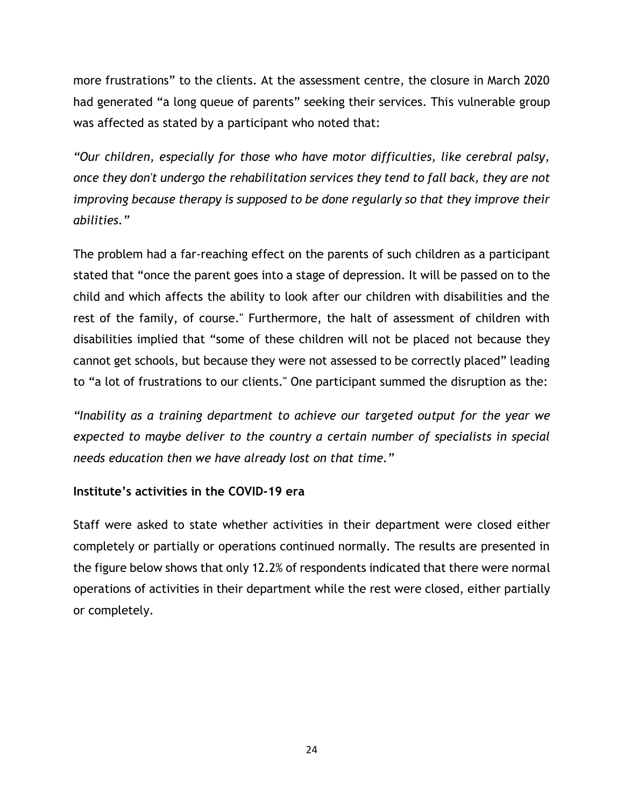more frustrations" to the clients. At the assessment centre, the closure in March 2020 had generated "a long queue of parents" seeking their services. This vulnerable group was affected as stated by a participant who noted that:

*"Our children, especially for those who have motor difficulties, like cerebral palsy, once they don't undergo the rehabilitation services they tend to fall back, they are not improving because therapy is supposed to be done regularly so that they improve their abilities."*

The problem had a far-reaching effect on the parents of such children as a participant stated that "once the parent goes into a stage of depression. It will be passed on to the child and which affects the ability to look after our children with disabilities and the rest of the family, of course." Furthermore, the halt of assessment of children with disabilities implied that "some of these children will not be placed not because they cannot get schools, but because they were not assessed to be correctly placed" leading to "a lot of frustrations to our clients." One participant summed the disruption as the:

*"Inability as a training department to achieve our targeted output for the year we expected to maybe deliver to the country a certain number of specialists in special needs education then we have already lost on that time."*

## **Institute's activities in the COVID-19 era**

Staff were asked to state whether activities in their department were closed either completely or partially or operations continued normally. The results are presented in the figure below shows that only 12.2% of respondents indicated that there were normal operations of activities in their department while the rest were closed, either partially or completely.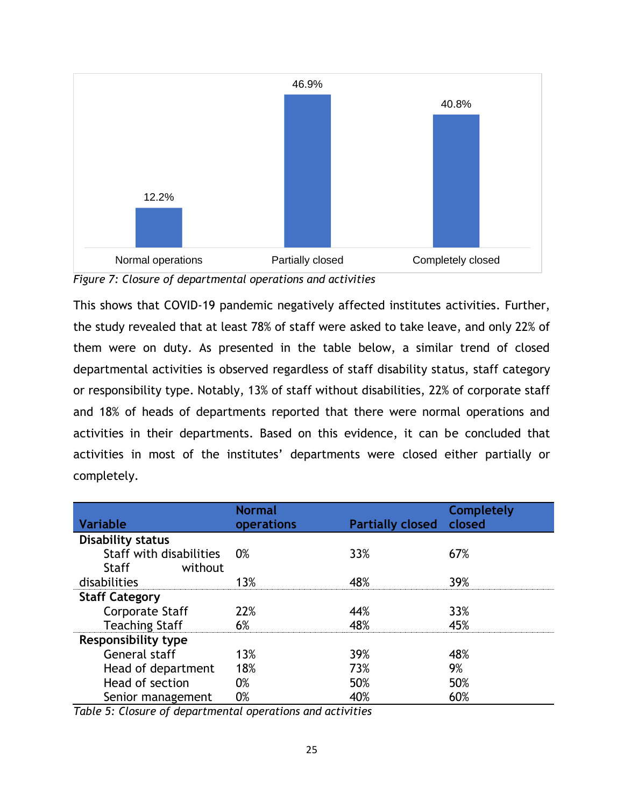

<span id="page-32-1"></span>*Figure 7: Closure of departmental operations and activities*

This shows that COVID-19 pandemic negatively affected institutes activities. Further, the study revealed that at least 78% of staff were asked to take leave, and only 22% of them were on duty. As presented in the table below, a similar trend of closed departmental activities is observed regardless of staff disability status, staff category or responsibility type. Notably, 13% of staff without disabilities, 22% of corporate staff and 18% of heads of departments reported that there were normal operations and activities in their departments. Based on this evidence, it can be concluded that activities in most of the institutes' departments were closed either partially or completely.

<span id="page-32-0"></span>

|                                | <b>Normal</b> |                         | <b>Completely</b> |
|--------------------------------|---------------|-------------------------|-------------------|
| <b>Variable</b>                | operations    | <b>Partially closed</b> | closed            |
| <b>Disability status</b>       |               |                         |                   |
| <b>Staff with disabilities</b> | 0%            | 33%                     | 67%               |
| without<br><b>Staff</b>        |               |                         |                   |
| disabilities                   | 13%           | 48%                     | 39%               |
| <b>Staff Category</b>          |               |                         |                   |
| <b>Corporate Staff</b>         | 22%           | 44%                     | 33%               |
| <b>Teaching Staff</b>          | 6%            | 48%                     | 45%               |
| <b>Responsibility type</b>     |               |                         |                   |
| General staff                  | 13%           | 39%                     | 48%               |
| Head of department             | 18%           | 73%                     | 9%                |
| Head of section                | 0%            | 50%                     | 50%               |
| Senior management              | 0%            | 40%                     | 60%               |

*Table 5: Closure of departmental operations and activities*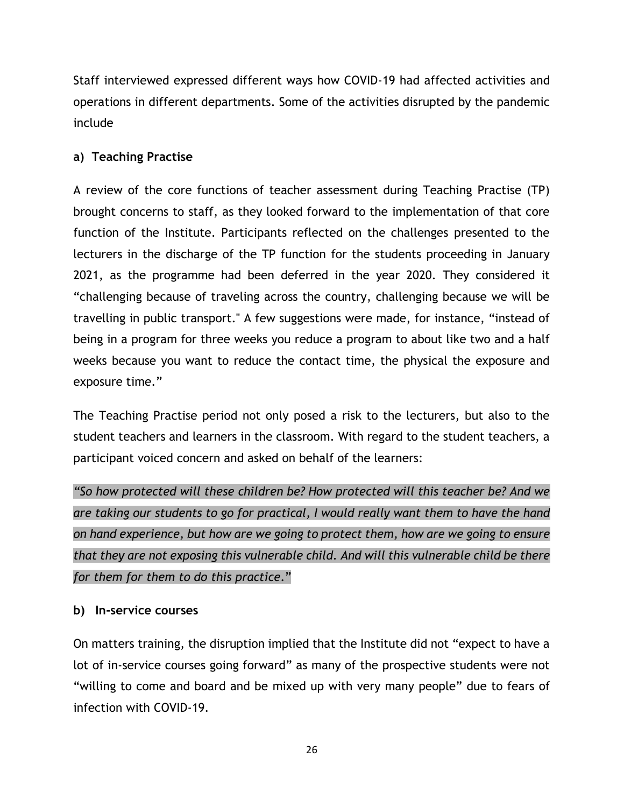Staff interviewed expressed different ways how COVID-19 had affected activities and operations in different departments. Some of the activities disrupted by the pandemic include

## **a) Teaching Practise**

A review of the core functions of teacher assessment during Teaching Practise (TP) brought concerns to staff, as they looked forward to the implementation of that core function of the Institute. Participants reflected on the challenges presented to the lecturers in the discharge of the TP function for the students proceeding in January 2021, as the programme had been deferred in the year 2020. They considered it "challenging because of traveling across the country, challenging because we will be travelling in public transport." A few suggestions were made, for instance, "instead of being in a program for three weeks you reduce a program to about like two and a half weeks because you want to reduce the contact time, the physical the exposure and exposure time."

The Teaching Practise period not only posed a risk to the lecturers, but also to the student teachers and learners in the classroom. With regard to the student teachers, a participant voiced concern and asked on behalf of the learners:

*"So how protected will these children be? How protected will this teacher be? And we are taking our students to go for practical, I would really want them to have the hand on hand experience, but how are we going to protect them, how are we going to ensure that they are not exposing this vulnerable child. And will this vulnerable child be there for them for them to do this practice*."

## **b) In-service courses**

On matters training, the disruption implied that the Institute did not "expect to have a lot of in-service courses going forward" as many of the prospective students were not "willing to come and board and be mixed up with very many people" due to fears of infection with COVID-19.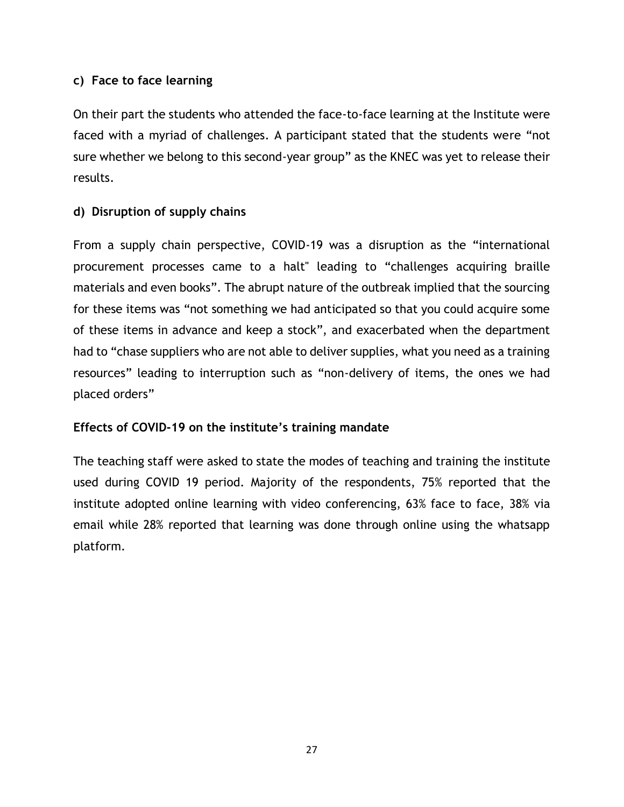## **c) Face to face learning**

On their part the students who attended the face-to-face learning at the Institute were faced with a myriad of challenges. A participant stated that the students were "not sure whether we belong to this second-year group" as the KNEC was yet to release their results.

## **d) Disruption of supply chains**

From a supply chain perspective, COVID-19 was a disruption as the "international procurement processes came to a halt'' leading to "challenges acquiring braille materials and even books". The abrupt nature of the outbreak implied that the sourcing for these items was "not something we had anticipated so that you could acquire some of these items in advance and keep a stock", and exacerbated when the department had to "chase suppliers who are not able to deliver supplies, what you need as a training resources" leading to interruption such as "non-delivery of items, the ones we had placed orders"

## **Effects of COVID-19 on the institute's training mandate**

The teaching staff were asked to state the modes of teaching and training the institute used during COVID 19 period. Majority of the respondents, 75% reported that the institute adopted online learning with video conferencing, 63% face to face, 38% via email while 28% reported that learning was done through online using the whatsapp platform.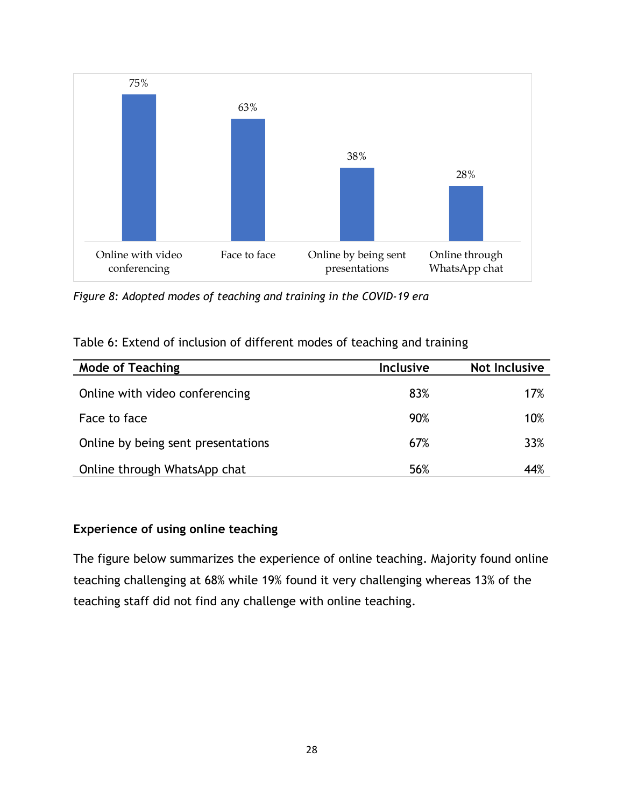

<span id="page-35-1"></span>*Figure 8: Adopted modes of teaching and training in the COVID-19 era*

<span id="page-35-0"></span>

| Table 6: Extend of inclusion of different modes of teaching and training |  |  |  |
|--------------------------------------------------------------------------|--|--|--|
|                                                                          |  |  |  |

| <b>Mode of Teaching</b>            | <b>Inclusive</b> | <b>Not Inclusive</b> |
|------------------------------------|------------------|----------------------|
| Online with video conferencing     | 83%              | 17%                  |
| Face to face                       | 90%              | 10%                  |
| Online by being sent presentations | 67%              | 33%                  |
| Online through WhatsApp chat       | 56%              | 44%                  |

## **Experience of using online teaching**

The figure below summarizes the experience of online teaching. Majority found online teaching challenging at 68% while 19% found it very challenging whereas 13% of the teaching staff did not find any challenge with online teaching.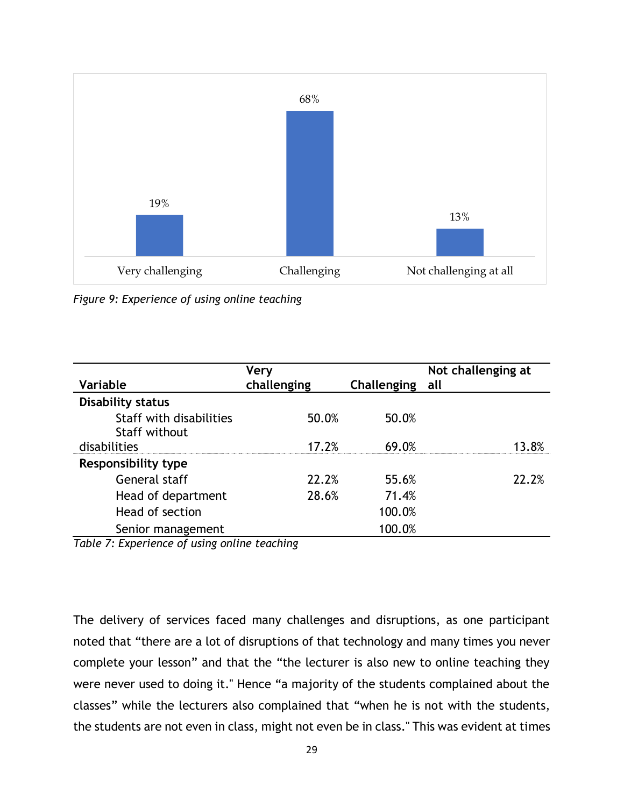

<span id="page-36-1"></span>*Figure 9: Experience of using online teaching*

<span id="page-36-0"></span>

|                                          | Very        |             | Not challenging at |
|------------------------------------------|-------------|-------------|--------------------|
| Variable                                 | challenging | Challenging | all                |
| <b>Disability status</b>                 |             |             |                    |
| Staff with disabilities<br>Staff without | 50.0%       | 50.0%       |                    |
| disabilities                             | 17.2%       | 69.0%       | 13.8%              |
| <b>Responsibility type</b>               |             |             |                    |
| General staff                            | 22.2%       | 55.6%       | 22.2%              |
| Head of department                       | 28.6%       | 71.4%       |                    |
| Head of section                          |             | 100.0%      |                    |
| Senior management                        |             | 100.0%      |                    |

*Table 7: Experience of using online teaching*

The delivery of services faced many challenges and disruptions, as one participant noted that "there are a lot of disruptions of that technology and many times you never complete your lesson" and that the "the lecturer is also new to online teaching they were never used to doing it." Hence "a majority of the students complained about the classes" while the lecturers also complained that "when he is not with the students, the students are not even in class, might not even be in class." This was evident at times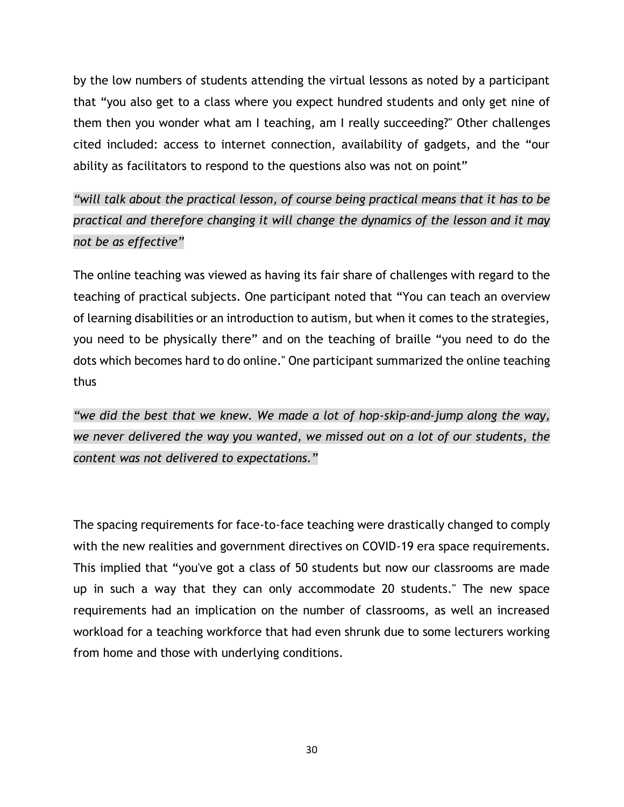by the low numbers of students attending the virtual lessons as noted by a participant that "you also get to a class where you expect hundred students and only get nine of them then you wonder what am I teaching, am I really succeeding?" Other challenges cited included: access to internet connection, availability of gadgets, and the "our ability as facilitators to respond to the questions also was not on point"

*"will talk about the practical lesson, of course being practical means that it has to be practical and therefore changing it will change the dynamics of the lesson and it may not be as effective"*

The online teaching was viewed as having its fair share of challenges with regard to the teaching of practical subjects. One participant noted that "You can teach an overview of learning disabilities or an introduction to autism, but when it comes to the strategies, you need to be physically there" and on the teaching of braille "you need to do the dots which becomes hard to do online." One participant summarized the online teaching thus

*"we did the best that we knew. We made a lot of hop-skip-and-jump along the way, we never delivered the way you wanted, we missed out on a lot of our students, the content was not delivered to expectations."*

The spacing requirements for face-to-face teaching were drastically changed to comply with the new realities and government directives on COVID-19 era space requirements. This implied that "you've got a class of 50 students but now our classrooms are made up in such a way that they can only accommodate 20 students." The new space requirements had an implication on the number of classrooms, as well an increased workload for a teaching workforce that had even shrunk due to some lecturers working from home and those with underlying conditions.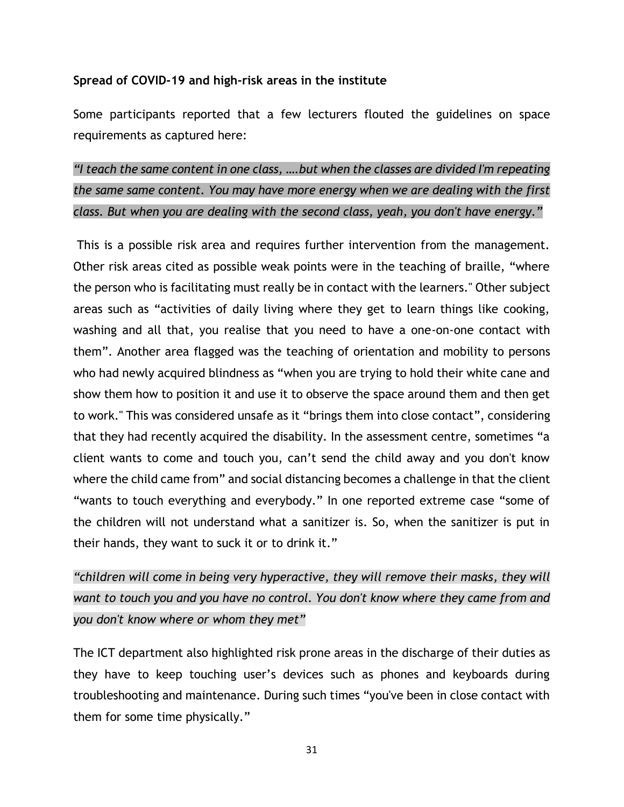#### **Spread of COVID-19 and high-risk areas in the institute**

Some participants reported that a few lecturers flouted the guidelines on space requirements as captured here:

*"I teach the same content in one class, ….but when the classes are divided I'm repeating the same same content. You may have more energy when we are dealing with the first class. But when you are dealing with the second class, yeah, you don't have energy."*

This is a possible risk area and requires further intervention from the management. Other risk areas cited as possible weak points were in the teaching of braille, "where the person who is facilitating must really be in contact with the learners." Other subject areas such as "activities of daily living where they get to learn things like cooking, washing and all that, you realise that you need to have a one-on-one contact with them". Another area flagged was the teaching of orientation and mobility to persons who had newly acquired blindness as "when you are trying to hold their white cane and show them how to position it and use it to observe the space around them and then get to work." This was considered unsafe as it "brings them into close contact", considering that they had recently acquired the disability. In the assessment centre, sometimes "a client wants to come and touch you, can't send the child away and you don't know where the child came from" and social distancing becomes a challenge in that the client "wants to touch everything and everybody." In one reported extreme case "some of the children will not understand what a sanitizer is. So, when the sanitizer is put in their hands, they want to suck it or to drink it."

*"children will come in being very hyperactive, they will remove their masks, they will want to touch you and you have no control. You don't know where they came from and you don't know where or whom they met"*

The ICT department also highlighted risk prone areas in the discharge of their duties as they have to keep touching user's devices such as phones and keyboards during troubleshooting and maintenance. During such times "you've been in close contact with them for some time physically."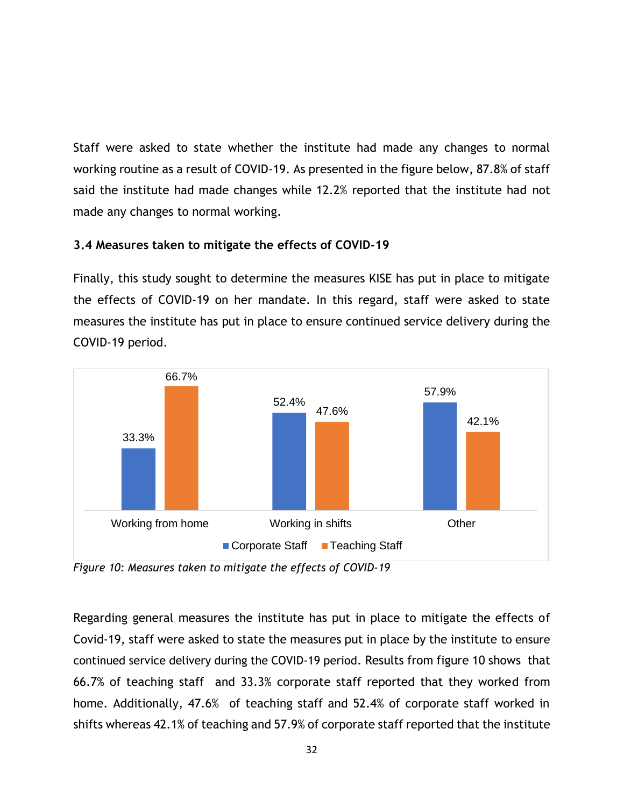Staff were asked to state whether the institute had made any changes to normal working routine as a result of COVID-19. As presented in the figure below, 87.8% of staff said the institute had made changes while 12.2% reported that the institute had not made any changes to normal working.

## <span id="page-39-0"></span>**3.4 Measures taken to mitigate the effects of COVID-19**

Finally, this study sought to determine the measures KISE has put in place to mitigate the effects of COVID-19 on her mandate. In this regard, staff were asked to state measures the institute has put in place to ensure continued service delivery during the COVID-19 period.



<span id="page-39-1"></span>*Figure 10: Measures taken to mitigate the effects of COVID-19*

Regarding general measures the institute has put in place to mitigate the effects of Covid-19, staff were asked to state the measures put in place by the institute to ensure continued service delivery during the COVID-19 period. Results from figure 10 shows that 66.7% of teaching staff and 33.3% corporate staff reported that they worked from home. Additionally, 47.6% of teaching staff and 52.4% of corporate staff worked in shifts whereas 42.1% of teaching and 57.9% of corporate staff reported that the institute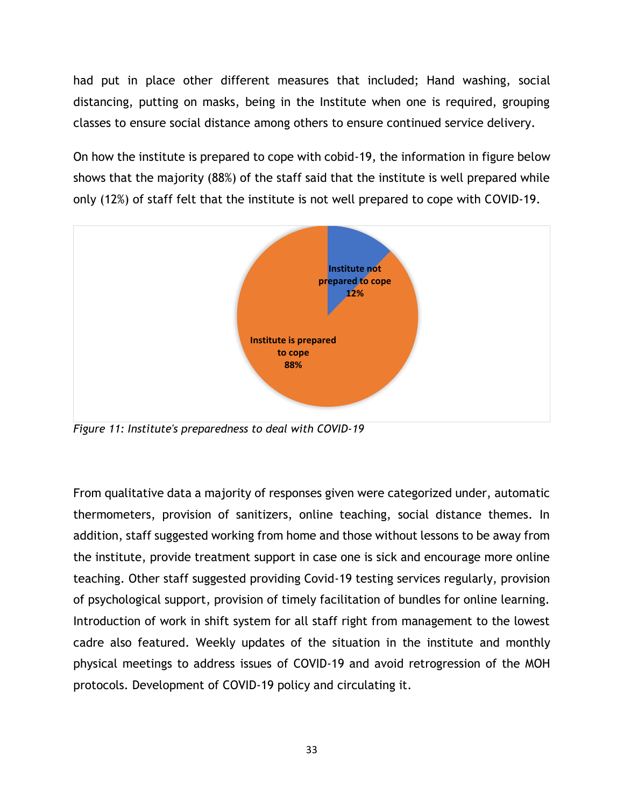had put in place other different measures that included; Hand washing, social distancing, putting on masks, being in the Institute when one is required, grouping classes to ensure social distance among others to ensure continued service delivery.

On how the institute is prepared to cope with cobid-19, the information in figure below shows that the majority (88%) of the staff said that the institute is well prepared while only (12%) of staff felt that the institute is not well prepared to cope with COVID-19.



<span id="page-40-0"></span>*Figure 11: Institute's preparedness to deal with COVID-19*

From qualitative data a majority of responses given were categorized under, automatic thermometers, provision of sanitizers, online teaching, social distance themes. In addition, staff suggested working from home and those without lessons to be away from the institute, provide treatment support in case one is sick and encourage more online teaching. Other staff suggested providing Covid-19 testing services regularly, provision of psychological support, provision of timely facilitation of bundles for online learning. Introduction of work in shift system for all staff right from management to the lowest cadre also featured. Weekly updates of the situation in the institute and monthly physical meetings to address issues of COVID-19 and avoid retrogression of the MOH protocols. Development of COVID-19 policy and circulating it.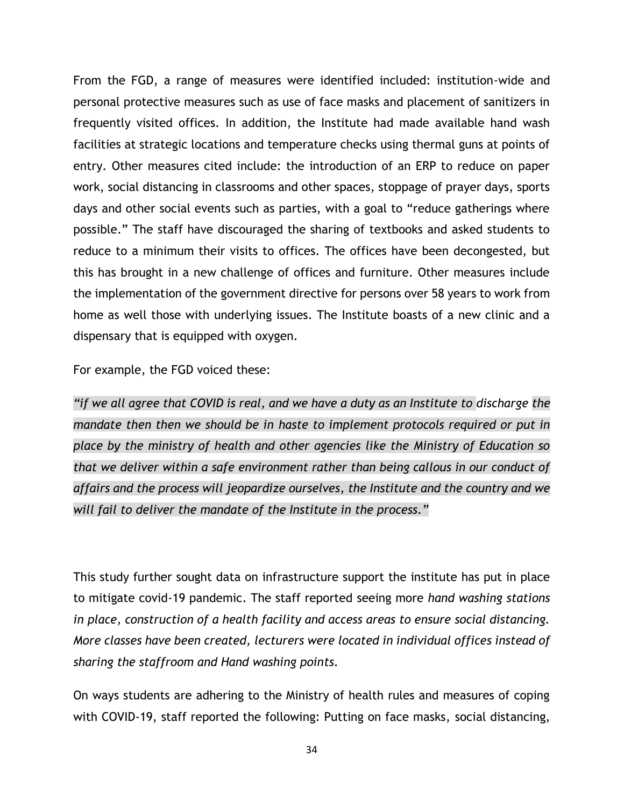From the FGD, a range of measures were identified included: institution-wide and personal protective measures such as use of face masks and placement of sanitizers in frequently visited offices. In addition, the Institute had made available hand wash facilities at strategic locations and temperature checks using thermal guns at points of entry. Other measures cited include: the introduction of an ERP to reduce on paper work, social distancing in classrooms and other spaces, stoppage of prayer days, sports days and other social events such as parties, with a goal to "reduce gatherings where possible." The staff have discouraged the sharing of textbooks and asked students to reduce to a minimum their visits to offices. The offices have been decongested, but this has brought in a new challenge of offices and furniture. Other measures include the implementation of the government directive for persons over 58 years to work from home as well those with underlying issues. The Institute boasts of a new clinic and a dispensary that is equipped with oxygen.

For example, the FGD voiced these:

*"if we all agree that COVID is real, and we have a duty as an Institute to discharge the mandate then then we should be in haste to implement protocols required or put in place by the ministry of health and other agencies like the Ministry of Education so that we deliver within a safe environment rather than being callous in our conduct of affairs and the process will jeopardize ourselves, the Institute and the country and we will fail to deliver the mandate of the Institute in the process."*

This study further sought data on infrastructure support the institute has put in place to mitigate covid-19 pandemic. The staff reported seeing more *hand washing stations in place, construction of a health facility and access areas to ensure social distancing. More classes have been created, lecturers were located in individual offices instead of sharing the staffroom and Hand washing points.*

On ways students are adhering to the Ministry of health rules and measures of coping with COVID-19, staff reported the following: Putting on face masks, social distancing,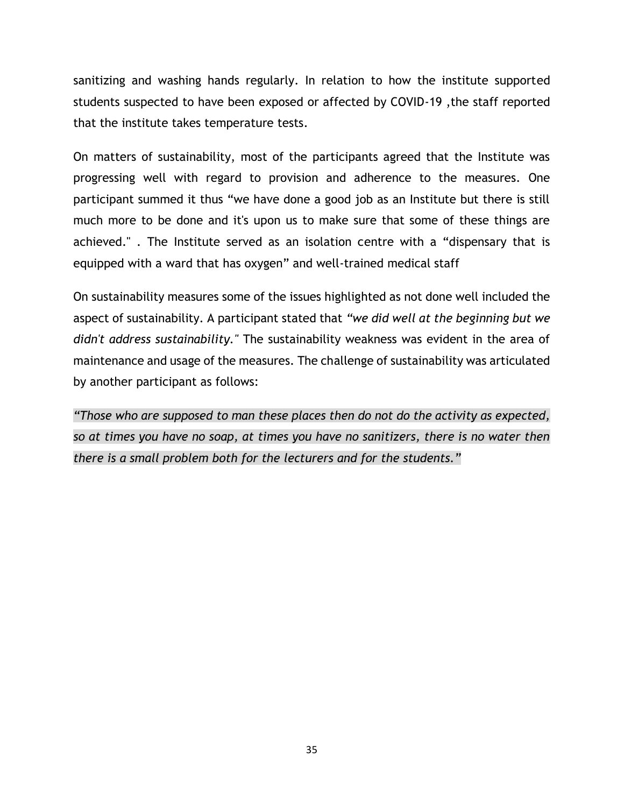sanitizing and washing hands regularly. In relation to how the institute supported students suspected to have been exposed or affected by COVID-19 ,the staff reported that the institute takes temperature tests.

On matters of sustainability, most of the participants agreed that the Institute was progressing well with regard to provision and adherence to the measures. One participant summed it thus "we have done a good job as an Institute but there is still much more to be done and it's upon us to make sure that some of these things are achieved." . The Institute served as an isolation centre with a "dispensary that is equipped with a ward that has oxygen" and well-trained medical staff

On sustainability measures some of the issues highlighted as not done well included the aspect of sustainability. A participant stated that *"we did well at the beginning but we didn't address sustainability."* The sustainability weakness was evident in the area of maintenance and usage of the measures. The challenge of sustainability was articulated by another participant as follows:

*"Those who are supposed to man these places then do not do the activity as expected, so at times you have no soap, at times you have no sanitizers, there is no water then there is a small problem both for the lecturers and for the students."*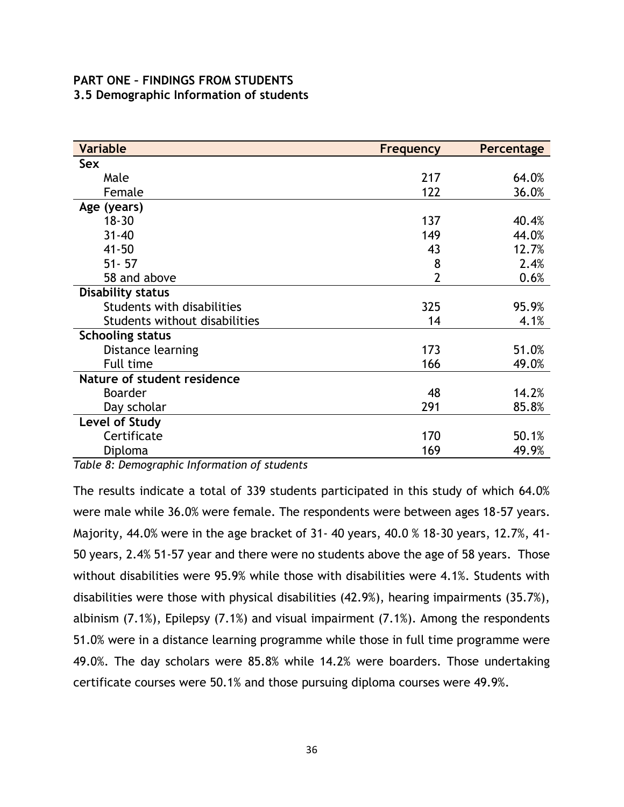#### <span id="page-43-1"></span><span id="page-43-0"></span>**PART ONE – FINDINGS FROM STUDENTS 3.5 Demographic Information of students**

<span id="page-43-2"></span>

| Variable                      | <b>Frequency</b> | Percentage |
|-------------------------------|------------------|------------|
| Sex                           |                  |            |
| Male                          | 217              | 64.0%      |
| Female                        | 122              | 36.0%      |
| Age (years)                   |                  |            |
| $18 - 30$                     | 137              | 40.4%      |
| $31 - 40$                     | 149              | 44.0%      |
| $41 - 50$                     | 43               | 12.7%      |
| $51 - 57$                     | 8                | 2.4%       |
| 58 and above                  | $\overline{2}$   | 0.6%       |
| <b>Disability status</b>      |                  |            |
| Students with disabilities    | 325              | 95.9%      |
| Students without disabilities | 14               | 4.1%       |
| <b>Schooling status</b>       |                  |            |
| Distance learning             | 173              | 51.0%      |
| Full time                     | 166              | 49.0%      |
| Nature of student residence   |                  |            |
| <b>Boarder</b>                | 48               | 14.2%      |
| Day scholar                   | 291              | 85.8%      |
| Level of Study                |                  |            |
| Certificate                   | 170              | 50.1%      |
| Diploma                       | 169              | 49.9%      |

*Table 8: Demographic Information of students*

The results indicate a total of 339 students participated in this study of which 64.0% were male while 36.0% were female. The respondents were between ages 18-57 years. Majority, 44.0% were in the age bracket of 31- 40 years, 40.0 % 18-30 years, 12.7%, 41- 50 years, 2.4% 51-57 year and there were no students above the age of 58 years. Those without disabilities were 95.9% while those with disabilities were 4.1%. Students with disabilities were those with physical disabilities (42.9%), hearing impairments (35.7%), albinism (7.1%), Epilepsy (7.1%) and visual impairment (7.1%). Among the respondents 51.0% were in a distance learning programme while those in full time programme were 49.0%. The day scholars were 85.8% while 14.2% were boarders. Those undertaking certificate courses were 50.1% and those pursuing diploma courses were 49.9%.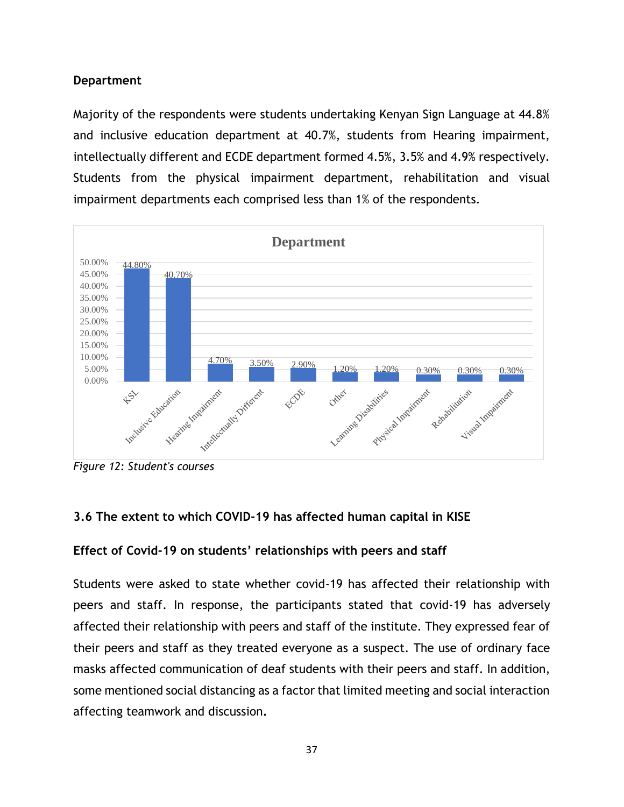## **Department**

Majority of the respondents were students undertaking Kenyan Sign Language at 44.8% and inclusive education department at 40.7%, students from Hearing impairment, intellectually different and ECDE department formed 4.5%, 3.5% and 4.9% respectively. Students from the physical impairment department, rehabilitation and visual impairment departments each comprised less than 1% of the respondents.



<span id="page-44-1"></span>*Figure 12: Student's courses*

## <span id="page-44-0"></span>**3.6 The extent to which COVID-19 has affected human capital in KISE**

## **Effect of Covid-19 on students' relationships with peers and staff**

Students were asked to state whether covid-19 has affected their relationship with peers and staff. In response, the participants stated that covid-19 has adversely affected their relationship with peers and staff of the institute. They expressed fear of their peers and staff as they treated everyone as a suspect. The use of ordinary face masks affected communication of deaf students with their peers and staff. In addition, some mentioned social distancing as a factor that limited meeting and social interaction affecting teamwork and discussion**.**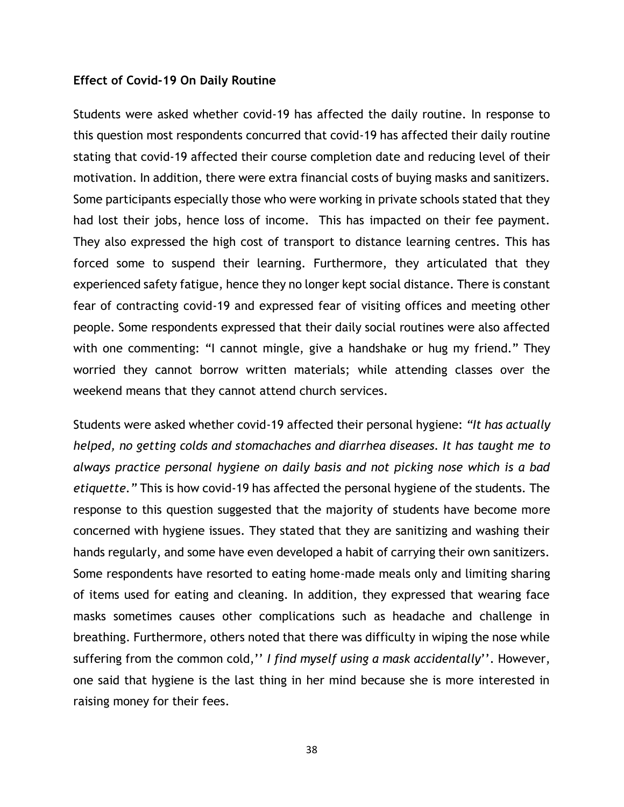#### **Effect of Covid-19 On Daily Routine**

Students were asked whether covid-19 has affected the daily routine. In response to this question most respondents concurred that covid-19 has affected their daily routine stating that covid-19 affected their course completion date and reducing level of their motivation. In addition, there were extra financial costs of buying masks and sanitizers. Some participants especially those who were working in private schools stated that they had lost their jobs, hence loss of income. This has impacted on their fee payment. They also expressed the high cost of transport to distance learning centres. This has forced some to suspend their learning. Furthermore, they articulated that they experienced safety fatigue, hence they no longer kept social distance. There is constant fear of contracting covid-19 and expressed fear of visiting offices and meeting other people. Some respondents expressed that their daily social routines were also affected with one commenting: "I cannot mingle, give a handshake or hug my friend." They worried they cannot borrow written materials; while attending classes over the weekend means that they cannot attend church services.

Students were asked whether covid-19 affected their personal hygiene: *"It has actually helped, no getting colds and stomachaches and diarrhea diseases. It has taught me to always practice personal hygiene on daily basis and not picking nose which is a bad etiquette."* This is how covid-19 has affected the personal hygiene of the students. The response to this question suggested that the majority of students have become more concerned with hygiene issues. They stated that they are sanitizing and washing their hands regularly, and some have even developed a habit of carrying their own sanitizers. Some respondents have resorted to eating home-made meals only and limiting sharing of items used for eating and cleaning. In addition, they expressed that wearing face masks sometimes causes other complications such as headache and challenge in breathing. Furthermore, others noted that there was difficulty in wiping the nose while suffering from the common cold,'' *I find myself using a mask accidentally*''. However, one said that hygiene is the last thing in her mind because she is more interested in raising money for their fees.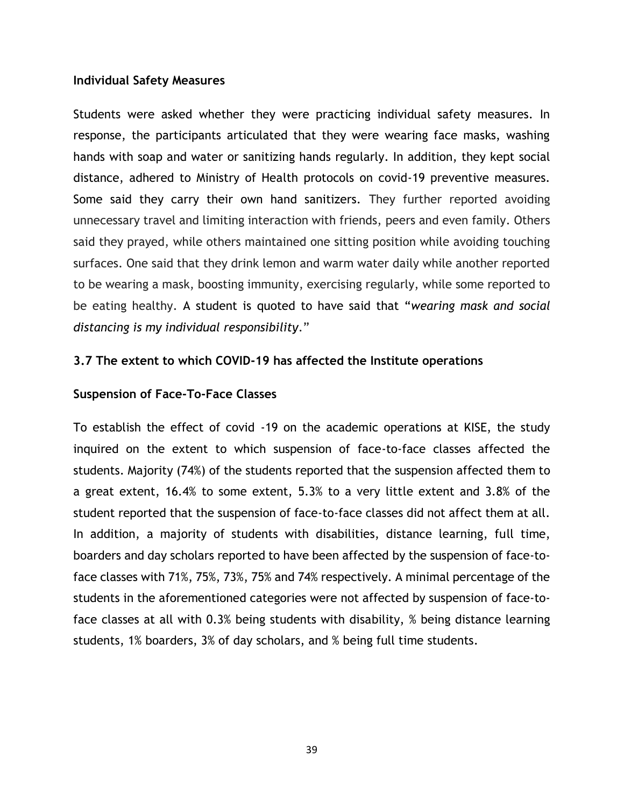#### **Individual Safety Measures**

Students were asked whether they were practicing individual safety measures. In response, the participants articulated that they were wearing face masks, washing hands with soap and water or sanitizing hands regularly. In addition, they kept social distance, adhered to Ministry of Health protocols on covid-19 preventive measures. Some said they carry their own hand sanitizers. They further reported avoiding unnecessary travel and limiting interaction with friends, peers and even family. Others said they prayed, while others maintained one sitting position while avoiding touching surfaces. One said that they drink lemon and warm water daily while another reported to be wearing a mask, boosting immunity, exercising regularly, while some reported to be eating healthy. A student is quoted to have said that "*wearing mask and social distancing is my individual responsibility*."

## <span id="page-46-0"></span>**3.7 The extent to which COVID-19 has affected the Institute operations**

#### **Suspension of Face-To-Face Classes**

To establish the effect of covid -19 on the academic operations at KISE, the study inquired on the extent to which suspension of face-to-face classes affected the students. Majority (74%) of the students reported that the suspension affected them to a great extent, 16.4% to some extent, 5.3% to a very little extent and 3.8% of the student reported that the suspension of face-to-face classes did not affect them at all. In addition, a majority of students with disabilities, distance learning, full time, boarders and day scholars reported to have been affected by the suspension of face-toface classes with 71%, 75%, 73%, 75% and 74% respectively. A minimal percentage of the students in the aforementioned categories were not affected by suspension of face-toface classes at all with 0.3% being students with disability, % being distance learning students, 1% boarders, 3% of day scholars, and % being full time students.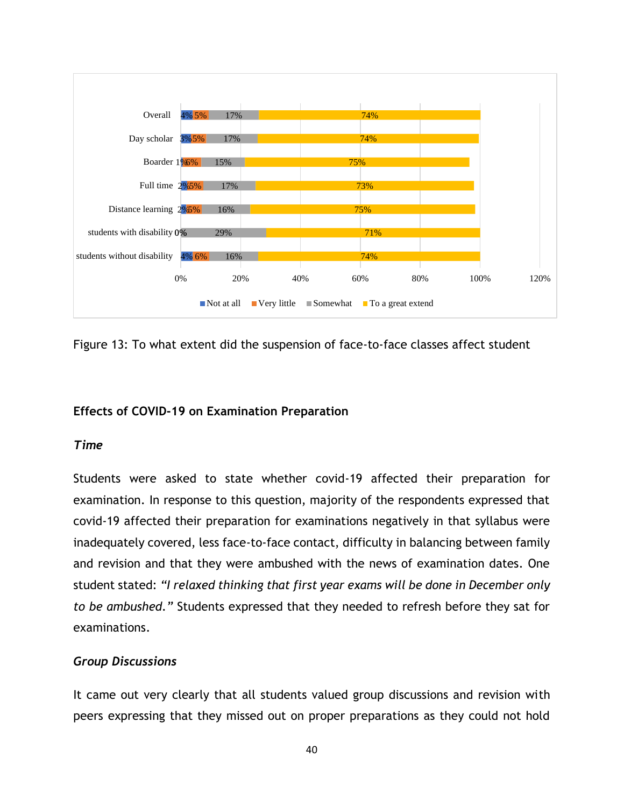

<span id="page-47-0"></span>Figure 13: To what extent did the suspension of face-to-face classes affect student

#### **Effects of COVID-19 on Examination Preparation**

#### *Time*

Students were asked to state whether covid-19 affected their preparation for examination. In response to this question, majority of the respondents expressed that covid-19 affected their preparation for examinations negatively in that syllabus were inadequately covered, less face-to-face contact, difficulty in balancing between family and revision and that they were ambushed with the news of examination dates. One student stated: *"I relaxed thinking that first year exams will be done in December only to be ambushed."* Students expressed that they needed to refresh before they sat for examinations.

#### *Group Discussions*

It came out very clearly that all students valued group discussions and revision with peers expressing that they missed out on proper preparations as they could not hold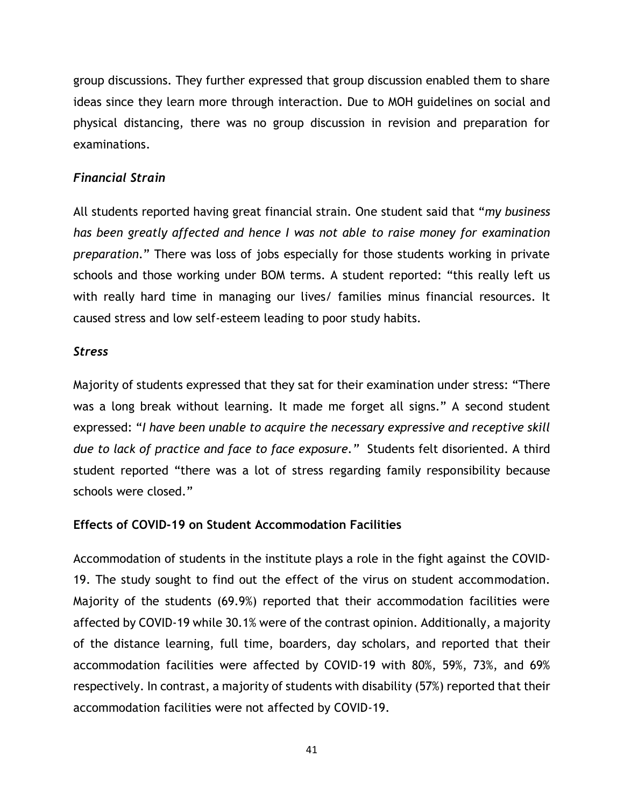group discussions. They further expressed that group discussion enabled them to share ideas since they learn more through interaction. Due to MOH guidelines on social and physical distancing, there was no group discussion in revision and preparation for examinations.

## *Financial Strain*

All students reported having great financial strain. One student said that "*my business has been greatly affected and hence I was not able to raise money for examination preparation*." There was loss of jobs especially for those students working in private schools and those working under BOM terms. A student reported: "this really left us with really hard time in managing our lives/ families minus financial resources. It caused stress and low self-esteem leading to poor study habits.

## *Stress*

Majority of students expressed that they sat for their examination under stress: "There was a long break without learning. It made me forget all signs." A second student expressed: "*I have been unable to acquire the necessary expressive and receptive skill due to lack of practice and face to face exposure."* Students felt disoriented. A third student reported "there was a lot of stress regarding family responsibility because schools were closed."

## **Effects of COVID-19 on Student Accommodation Facilities**

Accommodation of students in the institute plays a role in the fight against the COVID-19. The study sought to find out the effect of the virus on student accommodation. Majority of the students (69.9%) reported that their accommodation facilities were affected by COVID-19 while 30.1% were of the contrast opinion. Additionally, a majority of the distance learning, full time, boarders, day scholars, and reported that their accommodation facilities were affected by COVID-19 with 80%, 59%, 73%, and 69% respectively. In contrast, a majority of students with disability (57%) reported that their accommodation facilities were not affected by COVID-19.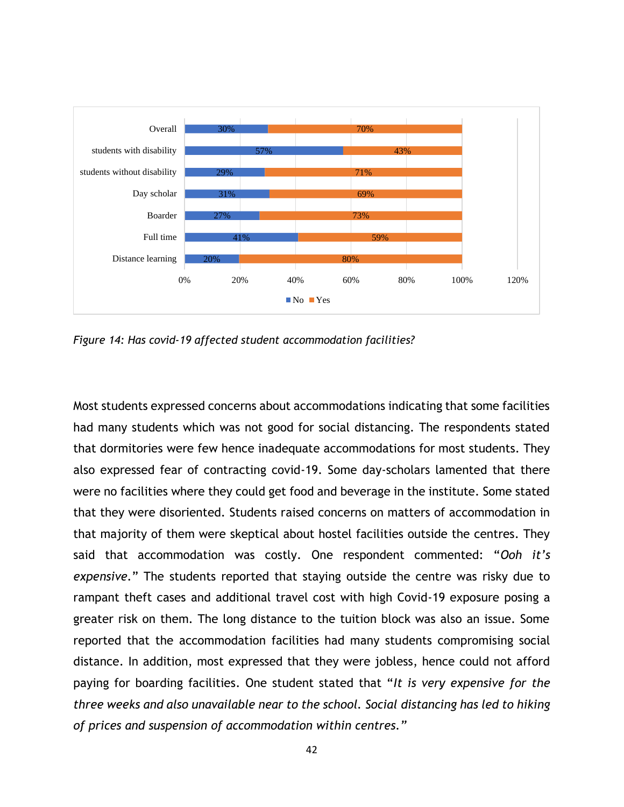

<span id="page-49-0"></span>*Figure 14: Has covid-19 affected student accommodation facilities?*

Most students expressed concerns about accommodations indicating that some facilities had many students which was not good for social distancing. The respondents stated that dormitories were few hence inadequate accommodations for most students. They also expressed fear of contracting covid-19. Some day-scholars lamented that there were no facilities where they could get food and beverage in the institute. Some stated that they were disoriented. Students raised concerns on matters of accommodation in that majority of them were skeptical about hostel facilities outside the centres. They said that accommodation was costly. One respondent commented: "*Ooh it's expensive.*" The students reported that staying outside the centre was risky due to rampant theft cases and additional travel cost with high Covid-19 exposure posing a greater risk on them. The long distance to the tuition block was also an issue. Some reported that the accommodation facilities had many students compromising social distance. In addition, most expressed that they were jobless, hence could not afford paying for boarding facilities. One student stated that "*It is very expensive for the three weeks and also unavailable near to the school. Social distancing has led to hiking of prices and suspension of accommodation within centres."*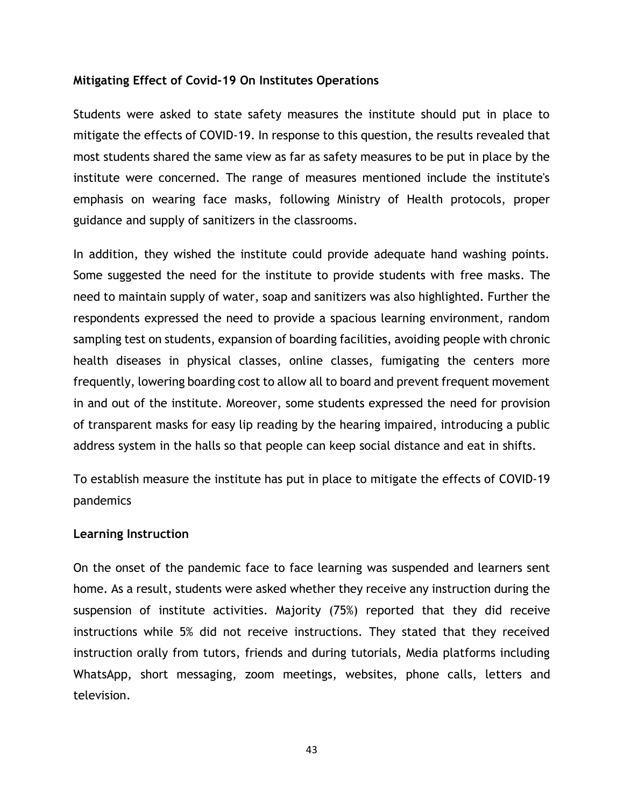#### **Mitigating Effect of Covid-19 On Institutes Operations**

Students were asked to state safety measures the institute should put in place to mitigate the effects of COVID-19. In response to this question, the results revealed that most students shared the same view as far as safety measures to be put in place by the institute were concerned. The range of measures mentioned include the institute's emphasis on wearing face masks, following Ministry of Health protocols, proper guidance and supply of sanitizers in the classrooms.

In addition, they wished the institute could provide adequate hand washing points. Some suggested the need for the institute to provide students with free masks. The need to maintain supply of water, soap and sanitizers was also highlighted. Further the respondents expressed the need to provide a spacious learning environment, random sampling test on students, expansion of boarding facilities, avoiding people with chronic health diseases in physical classes, online classes, fumigating the centers more frequently, lowering boarding cost to allow all to board and prevent frequent movement in and out of the institute. Moreover, some students expressed the need for provision of transparent masks for easy lip reading by the hearing impaired, introducing a public address system in the halls so that people can keep social distance and eat in shifts.

To establish measure the institute has put in place to mitigate the effects of COVID-19 pandemics

#### **Learning Instruction**

On the onset of the pandemic face to face learning was suspended and learners sent home. As a result, students were asked whether they receive any instruction during the suspension of institute activities. Majority (75%) reported that they did receive instructions while 5% did not receive instructions. They stated that they received instruction orally from tutors, friends and during tutorials, Media platforms including WhatsApp, short messaging, zoom meetings, websites, phone calls, letters and television.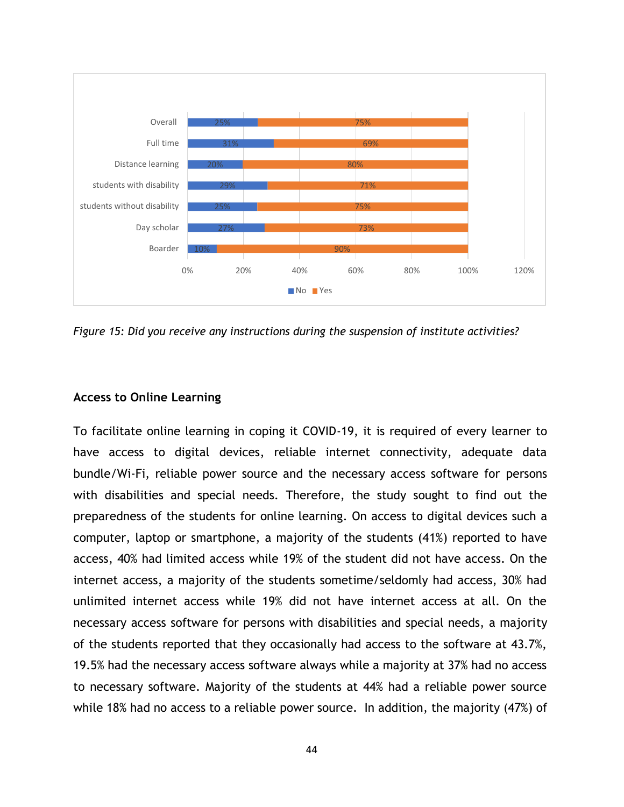

<span id="page-51-0"></span>*Figure 15: Did you receive any instructions during the suspension of institute activities?*

#### **Access to Online Learning**

To facilitate online learning in coping it COVID-19, it is required of every learner to have access to digital devices, reliable internet connectivity, adequate data bundle/Wi-Fi, reliable power source and the necessary access software for persons with disabilities and special needs. Therefore, the study sought to find out the preparedness of the students for online learning. On access to digital devices such a computer, laptop or smartphone, a majority of the students (41%) reported to have access, 40% had limited access while 19% of the student did not have access. On the internet access, a majority of the students sometime/seldomly had access, 30% had unlimited internet access while 19% did not have internet access at all. On the necessary access software for persons with disabilities and special needs, a majority of the students reported that they occasionally had access to the software at 43.7%, 19.5% had the necessary access software always while a majority at 37% had no access to necessary software. Majority of the students at 44% had a reliable power source while 18% had no access to a reliable power source. In addition, the majority (47%) of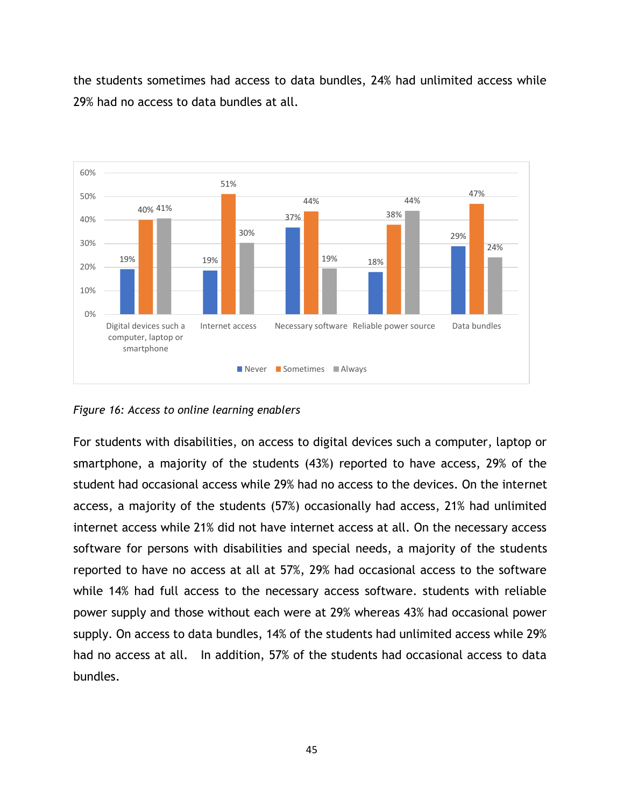the students sometimes had access to data bundles, 24% had unlimited access while 29% had no access to data bundles at all.



<span id="page-52-0"></span>*Figure 16: Access to online learning enablers*

For students with disabilities, on access to digital devices such a computer, laptop or smartphone, a majority of the students (43%) reported to have access, 29% of the student had occasional access while 29% had no access to the devices. On the internet access, a majority of the students (57%) occasionally had access, 21% had unlimited internet access while 21% did not have internet access at all. On the necessary access software for persons with disabilities and special needs, a majority of the students reported to have no access at all at 57%, 29% had occasional access to the software while 14% had full access to the necessary access software. students with reliable power supply and those without each were at 29% whereas 43% had occasional power supply. On access to data bundles, 14% of the students had unlimited access while 29% had no access at all. In addition, 57% of the students had occasional access to data bundles.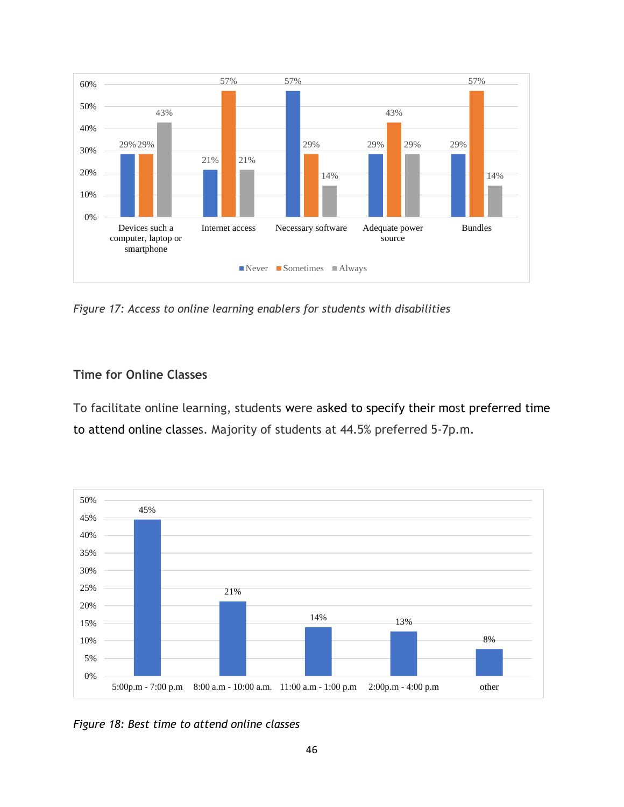

<span id="page-53-0"></span>*Figure 17: Access to online learning enablers for students with disabilities*

## **Time for Online Classes**

To facilitate online learning, students were asked to specify their most preferred time to attend online classes. Majority of students at 44.5% preferred 5-7p.m.



<span id="page-53-1"></span>*Figure 18: Best time to attend online classes*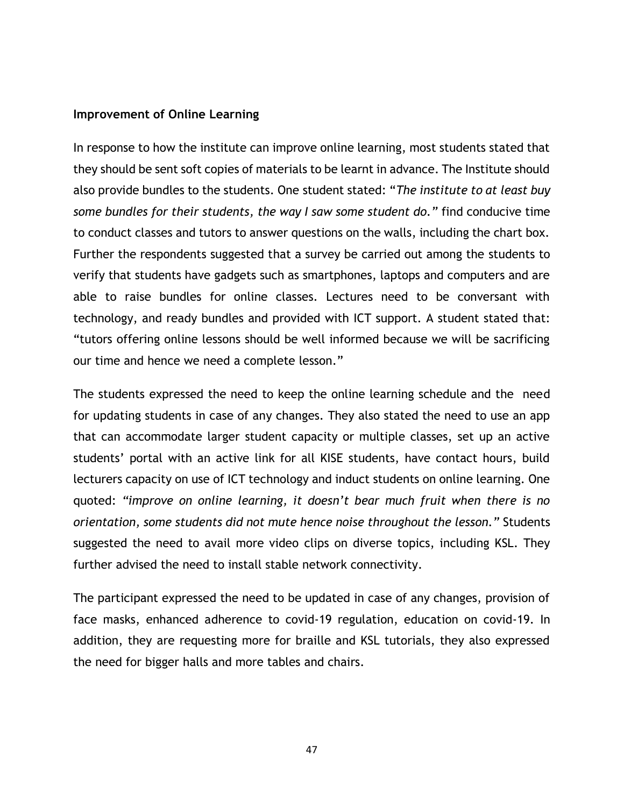#### **Improvement of Online Learning**

In response to how the institute can improve online learning, most students stated that they should be sent soft copies of materials to be learnt in advance. The Institute should also provide bundles to the students. One student stated: "*The institute to at least buy some bundles for their students, the way I saw some student do."* find conducive time to conduct classes and tutors to answer questions on the walls, including the chart box. Further the respondents suggested that a survey be carried out among the students to verify that students have gadgets such as smartphones, laptops and computers and are able to raise bundles for online classes. Lectures need to be conversant with technology, and ready bundles and provided with ICT support. A student stated that: "tutors offering online lessons should be well informed because we will be sacrificing our time and hence we need a complete lesson."

The students expressed the need to keep the online learning schedule and the need for updating students in case of any changes. They also stated the need to use an app that can accommodate larger student capacity or multiple classes, set up an active students' portal with an active link for all KISE students, have contact hours, build lecturers capacity on use of ICT technology and induct students on online learning. One quoted: *"improve on online learning, it doesn't bear much fruit when there is no orientation, some students did not mute hence noise throughout the lesson."* Students suggested the need to avail more video clips on diverse topics, including KSL. They further advised the need to install stable network connectivity.

The participant expressed the need to be updated in case of any changes, provision of face masks, enhanced adherence to covid-19 regulation, education on covid-19. In addition, they are requesting more for braille and KSL tutorials, they also expressed the need for bigger halls and more tables and chairs.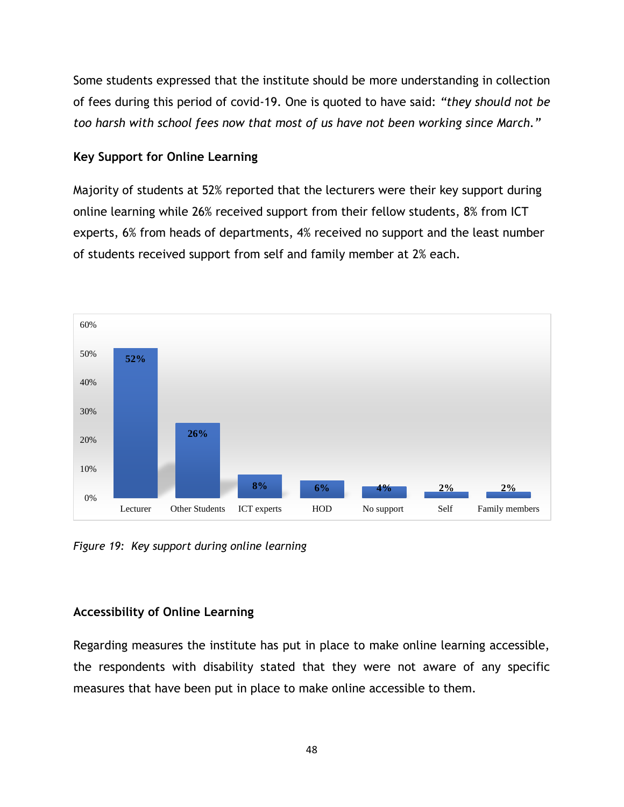Some students expressed that the institute should be more understanding in collection of fees during this period of covid-19. One is quoted to have said: *"they should not be too harsh with school fees now that most of us have not been working since March."*

## **Key Support for Online Learning**

Majority of students at 52% reported that the lecturers were their key support during online learning while 26% received support from their fellow students, 8% from ICT experts, 6% from heads of departments, 4% received no support and the least number of students received support from self and family member at 2% each.



<span id="page-55-0"></span>*Figure 19: Key support during online learning*

## **Accessibility of Online Learning**

Regarding measures the institute has put in place to make online learning accessible, the respondents with disability stated that they were not aware of any specific measures that have been put in place to make online accessible to them.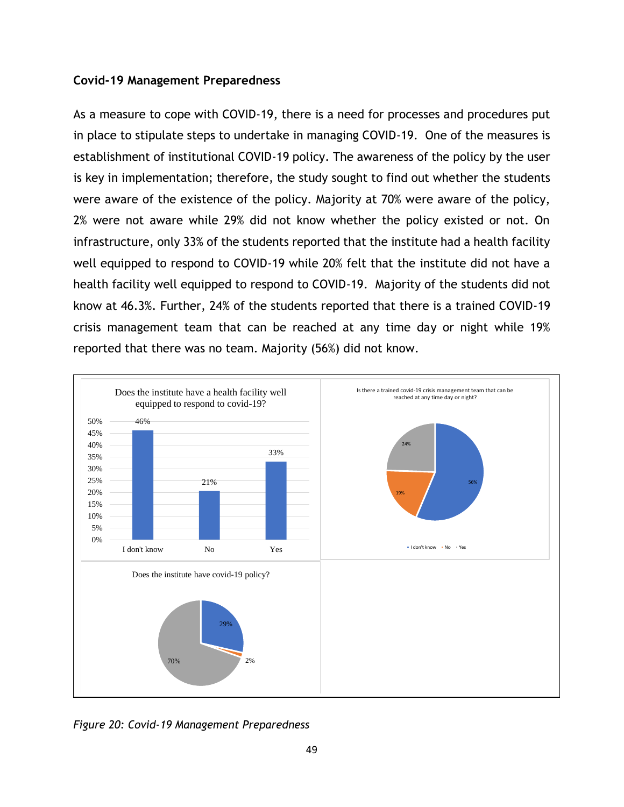#### **Covid-19 Management Preparedness**

As a measure to cope with COVID-19, there is a need for processes and procedures put in place to stipulate steps to undertake in managing COVID-19. One of the measures is establishment of institutional COVID-19 policy. The awareness of the policy by the user is key in implementation; therefore, the study sought to find out whether the students were aware of the existence of the policy. Majority at 70% were aware of the policy, 2% were not aware while 29% did not know whether the policy existed or not. On infrastructure, only 33% of the students reported that the institute had a health facility well equipped to respond to COVID-19 while 20% felt that the institute did not have a health facility well equipped to respond to COVID-19. Majority of the students did not know at 46.3%. Further, 24% of the students reported that there is a trained COVID-19 crisis management team that can be reached at any time day or night while 19% reported that there was no team. Majority (56%) did not know.



<span id="page-56-0"></span>*Figure 20: Covid-19 Management Preparedness*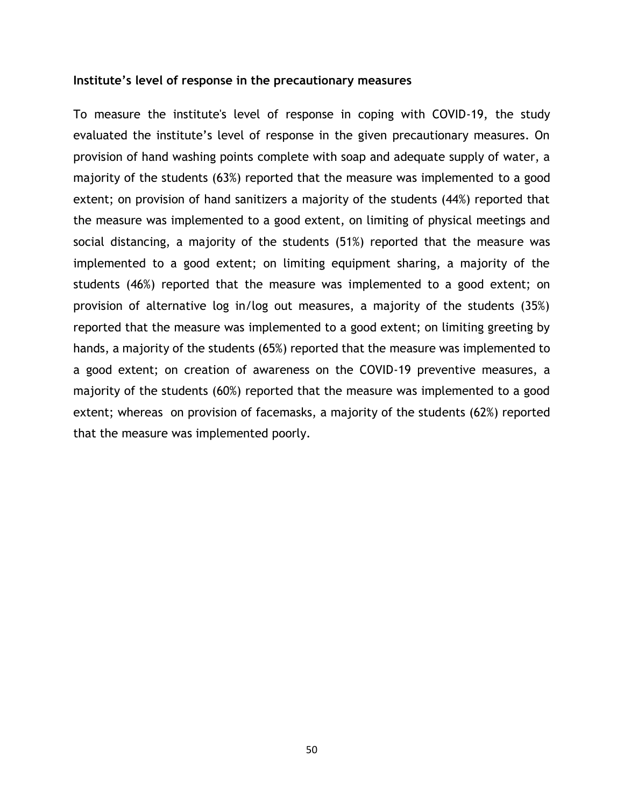#### **Institute's level of response in the precautionary measures**

To measure the institute's level of response in coping with COVID-19, the study evaluated the institute's level of response in the given precautionary measures. On provision of hand washing points complete with soap and adequate supply of water, a majority of the students (63%) reported that the measure was implemented to a good extent; on provision of hand sanitizers a majority of the students (44%) reported that the measure was implemented to a good extent, on limiting of physical meetings and social distancing, a majority of the students (51%) reported that the measure was implemented to a good extent; on limiting equipment sharing, a majority of the students (46%) reported that the measure was implemented to a good extent; on provision of alternative log in/log out measures, a majority of the students (35%) reported that the measure was implemented to a good extent; on limiting greeting by hands, a majority of the students (65%) reported that the measure was implemented to a good extent; on creation of awareness on the COVID-19 preventive measures, a majority of the students (60%) reported that the measure was implemented to a good extent; whereas on provision of facemasks, a majority of the students (62%) reported that the measure was implemented poorly.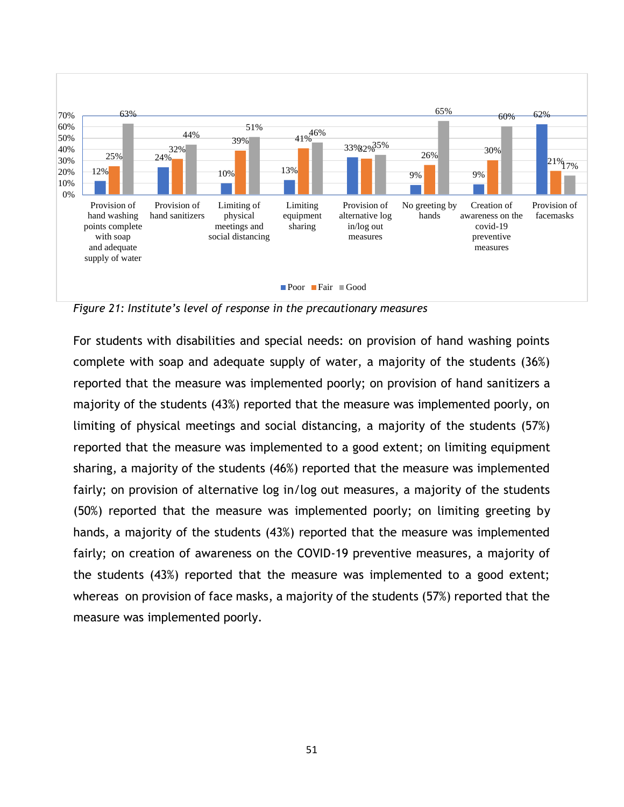

*Figure 21: Institute's level of response in the precautionary measures*

For students with disabilities and special needs: on provision of hand washing points complete with soap and adequate supply of water, a majority of the students (36%) reported that the measure was implemented poorly; on provision of hand sanitizers a majority of the students (43%) reported that the measure was implemented poorly, on limiting of physical meetings and social distancing, a majority of the students (57%) reported that the measure was implemented to a good extent; on limiting equipment sharing, a majority of the students (46%) reported that the measure was implemented fairly; on provision of alternative log in/log out measures, a majority of the students (50%) reported that the measure was implemented poorly; on limiting greeting by hands, a majority of the students (43%) reported that the measure was implemented fairly; on creation of awareness on the COVID-19 preventive measures, a majority of the students (43%) reported that the measure was implemented to a good extent; whereas on provision of face masks, a majority of the students (57%) reported that the measure was implemented poorly.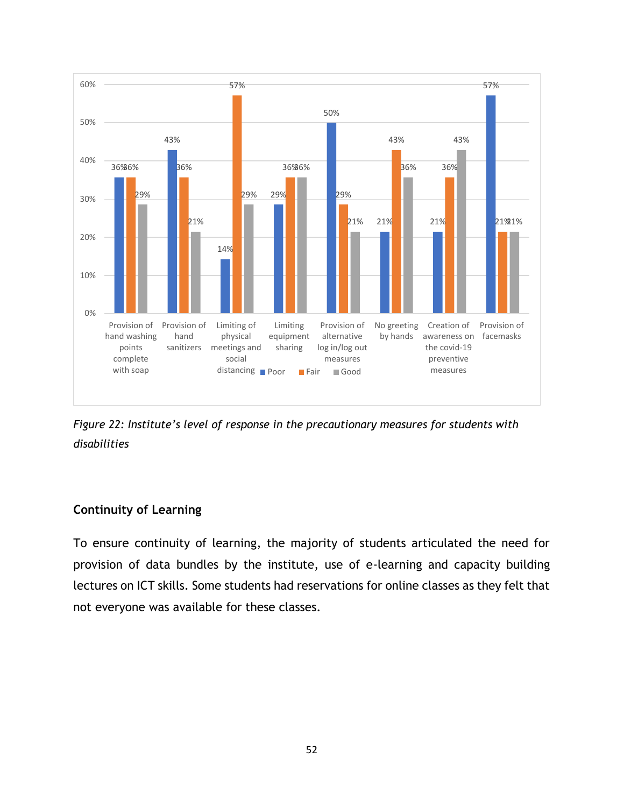

<span id="page-59-0"></span>*Figure 22: Institute's level of response in the precautionary measures for students with disabilities*

## **Continuity of Learning**

To ensure continuity of learning, the majority of students articulated the need for provision of data bundles by the institute, use of e-learning and capacity building lectures on ICT skills. Some students had reservations for online classes as they felt that not everyone was available for these classes.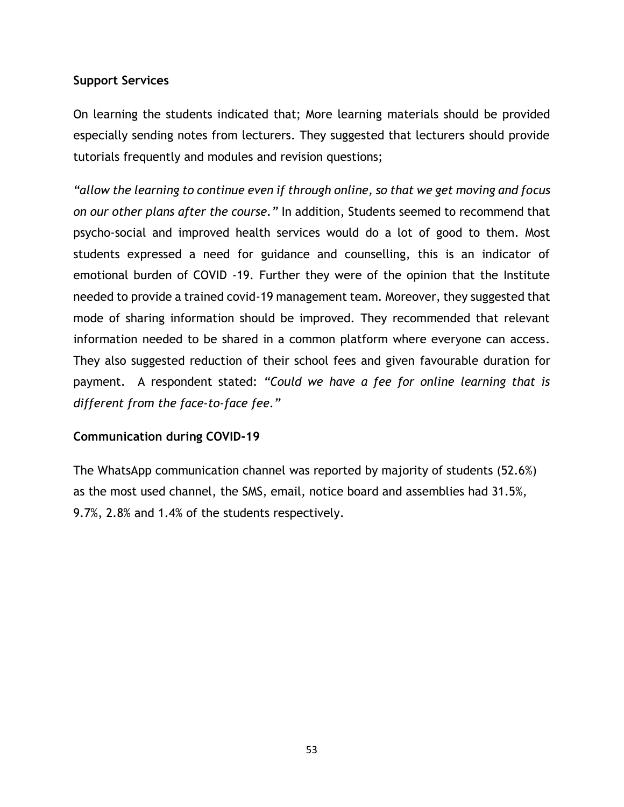## **Support Services**

On learning the students indicated that; More learning materials should be provided especially sending notes from lecturers. They suggested that lecturers should provide tutorials frequently and modules and revision questions;

*"allow the learning to continue even if through online, so that we get moving and focus on our other plans after the course."* In addition, Students seemed to recommend that psycho-social and improved health services would do a lot of good to them. Most students expressed a need for guidance and counselling, this is an indicator of emotional burden of COVID -19. Further they were of the opinion that the Institute needed to provide a trained covid-19 management team*.* Moreover, they suggested that mode of sharing information should be improved. They recommended that relevant information needed to be shared in a common platform where everyone can access*.*  They also suggested reduction of their school fees and given favourable duration for payment. A respondent stated: *"Could we have a fee for online learning that is different from the face-to-face fee."*

## **Communication during COVID-19**

The WhatsApp communication channel was reported by majority of students (52.6%) as the most used channel, the SMS, email, notice board and assemblies had 31.5%, 9.7%, 2.8% and 1.4% of the students respectively.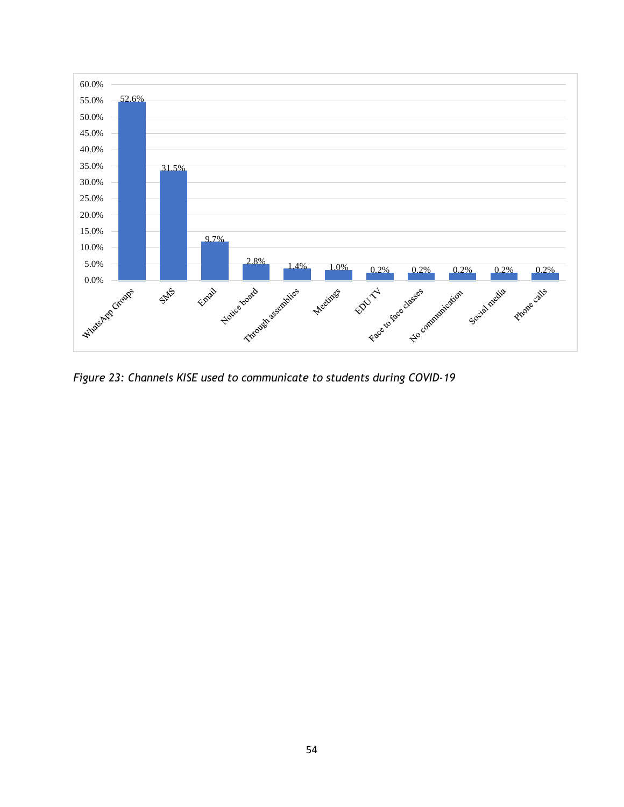

<span id="page-61-0"></span>*Figure 23: Channels KISE used to communicate to students during COVID-19*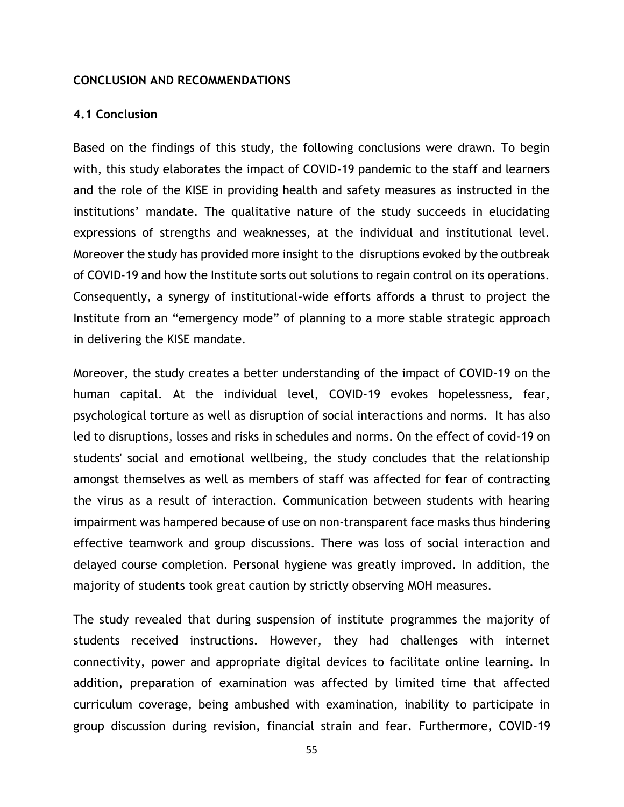#### <span id="page-62-0"></span>**CONCLUSION AND RECOMMENDATIONS**

#### <span id="page-62-1"></span>**4.1 Conclusion**

Based on the findings of this study, the following conclusions were drawn. To begin with, this study elaborates the impact of COVID-19 pandemic to the staff and learners and the role of the KISE in providing health and safety measures as instructed in the institutions' mandate. The qualitative nature of the study succeeds in elucidating expressions of strengths and weaknesses, at the individual and institutional level. Moreover the study has provided more insight to the disruptions evoked by the outbreak of COVID-19 and how the Institute sorts out solutions to regain control on its operations. Consequently, a synergy of institutional-wide efforts affords a thrust to project the Institute from an "emergency mode" of planning to a more stable strategic approach in delivering the KISE mandate.

Moreover, the study creates a better understanding of the impact of COVID-19 on the human capital. At the individual level, COVID-19 evokes hopelessness, fear, psychological torture as well as disruption of social interactions and norms. It has also led to disruptions, losses and risks in schedules and norms. On the effect of covid-19 on students' social and emotional wellbeing, the study concludes that the relationship amongst themselves as well as members of staff was affected for fear of contracting the virus as a result of interaction. Communication between students with hearing impairment was hampered because of use on non-transparent face masks thus hindering effective teamwork and group discussions. There was loss of social interaction and delayed course completion. Personal hygiene was greatly improved. In addition, the majority of students took great caution by strictly observing MOH measures.

The study revealed that during suspension of institute programmes the majority of students received instructions. However, they had challenges with internet connectivity, power and appropriate digital devices to facilitate online learning. In addition, preparation of examination was affected by limited time that affected curriculum coverage, being ambushed with examination, inability to participate in group discussion during revision, financial strain and fear. Furthermore, COVID-19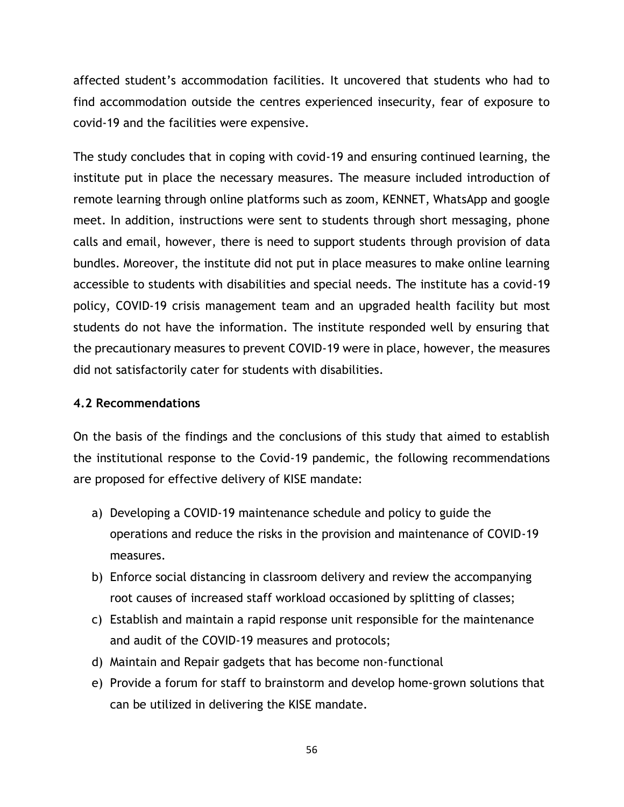affected student's accommodation facilities. It uncovered that students who had to find accommodation outside the centres experienced insecurity, fear of exposure to covid-19 and the facilities were expensive.

The study concludes that in coping with covid-19 and ensuring continued learning, the institute put in place the necessary measures. The measure included introduction of remote learning through online platforms such as zoom, KENNET, WhatsApp and google meet. In addition, instructions were sent to students through short messaging, phone calls and email, however, there is need to support students through provision of data bundles. Moreover, the institute did not put in place measures to make online learning accessible to students with disabilities and special needs. The institute has a covid-19 policy, COVID-19 crisis management team and an upgraded health facility but most students do not have the information. The institute responded well by ensuring that the precautionary measures to prevent COVID-19 were in place, however, the measures did not satisfactorily cater for students with disabilities.

#### <span id="page-63-0"></span>**4.2 Recommendations**

On the basis of the findings and the conclusions of this study that aimed to establish the institutional response to the Covid-19 pandemic, the following recommendations are proposed for effective delivery of KISE mandate:

- a) Developing a COVID-19 maintenance schedule and policy to guide the operations and reduce the risks in the provision and maintenance of COVID-19 measures.
- b) Enforce social distancing in classroom delivery and review the accompanying root causes of increased staff workload occasioned by splitting of classes;
- c) Establish and maintain a rapid response unit responsible for the maintenance and audit of the COVID-19 measures and protocols;
- d) Maintain and Repair gadgets that has become non-functional
- e) Provide a forum for staff to brainstorm and develop home-grown solutions that can be utilized in delivering the KISE mandate.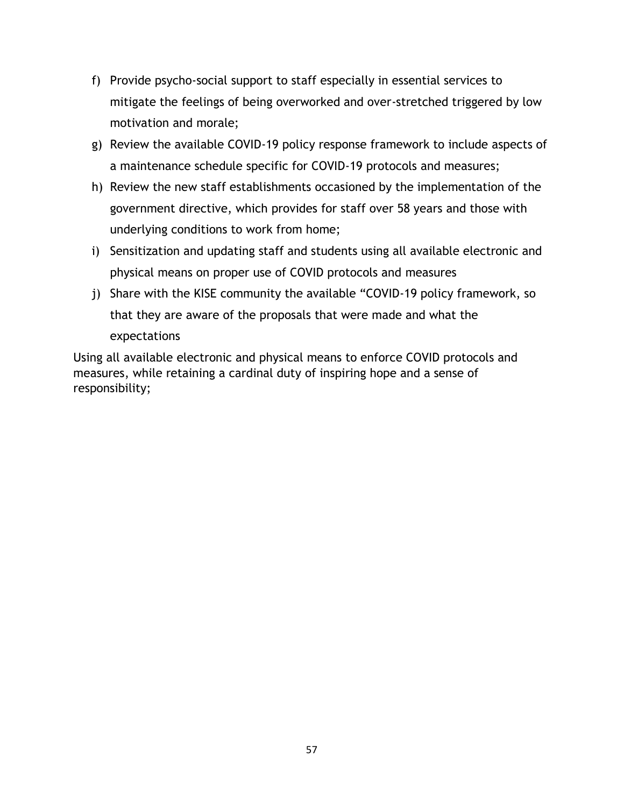- f) Provide psycho-social support to staff especially in essential services to mitigate the feelings of being overworked and over-stretched triggered by low motivation and morale;
- g) Review the available COVID-19 policy response framework to include aspects of a maintenance schedule specific for COVID-19 protocols and measures;
- h) Review the new staff establishments occasioned by the implementation of the government directive, which provides for staff over 58 years and those with underlying conditions to work from home;
- i) Sensitization and updating staff and students using all available electronic and physical means on proper use of COVID protocols and measures
- j) Share with the KISE community the available "COVID-19 policy framework, so that they are aware of the proposals that were made and what the expectations

Using all available electronic and physical means to enforce COVID protocols and measures, while retaining a cardinal duty of inspiring hope and a sense of responsibility;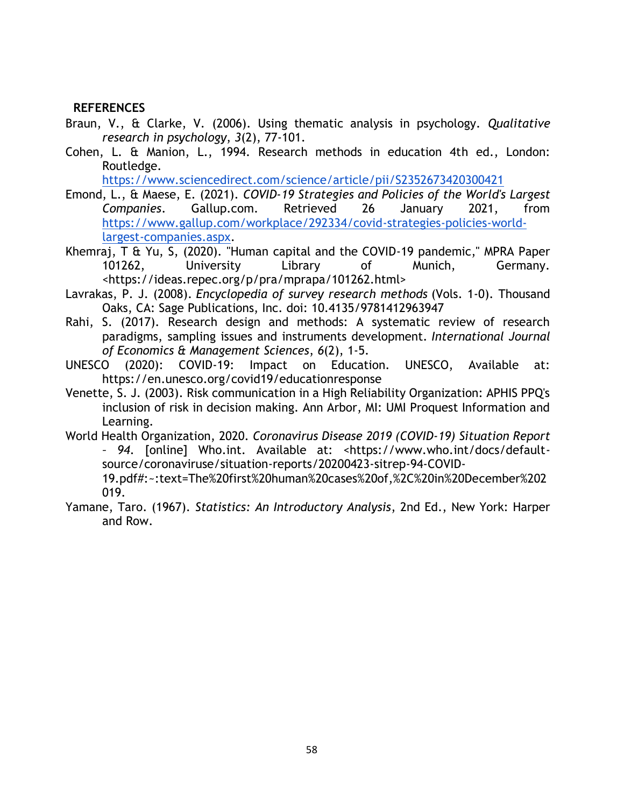#### <span id="page-65-0"></span>**REFERENCES**

- Braun, V., & Clarke, V. (2006). Using thematic analysis in psychology. *Qualitative research in psychology*, *3*(2), 77-101.
- Cohen, L. & Manion, L., 1994. Research methods in education 4th ed., London: Routledge.

<https://www.sciencedirect.com/science/article/pii/S2352673420300421>

- Emond, L., & Maese, E. (2021). *COVID-19 Strategies and Policies of the World's Largest Companies*. Gallup.com. Retrieved 26 January 2021, from [https://www.gallup.com/workplace/292334/covid-strategies-policies-world](https://www.gallup.com/workplace/292334/covid-strategies-policies-world-largest-companies.aspx)[largest-companies.aspx.](https://www.gallup.com/workplace/292334/covid-strategies-policies-world-largest-companies.aspx)
- Khemraj, T & Yu, S, (2020). "Human capital and the COVID-19 pandemic," MPRA Paper 101262, University Library of Munich, Germany. <https://ideas.repec.org/p/pra/mprapa/101262.html>
- Lavrakas, P. J. (2008). *Encyclopedia of survey research methods* (Vols. 1-0). Thousand Oaks, CA: Sage Publications, Inc. doi: 10.4135/9781412963947
- Rahi, S. (2017). Research design and methods: A systematic review of research paradigms, sampling issues and instruments development. *International Journal of Economics & Management Sciences*, *6*(2), 1-5.
- UNESCO (2020): COVID-19: Impact on Education. UNESCO, Available at: https://en.unesco.org/covid19/educationresponse
- Venette, S. J. (2003). Risk communication in a High Reliability Organization: APHIS PPQ's inclusion of risk in decision making. Ann Arbor, MI: UMI Proquest Information and Learning.
- World Health Organization, 2020. *Coronavirus Disease 2019 (COVID-19) Situation Report – 94*. [online] Who.int. Available at: <https://www.who.int/docs/defaultsource/coronaviruse/situation-reports/20200423-sitrep-94-COVID-

19.pdf#:~:text=The%20first%20human%20cases%20of,%2C%20in%20December%202 019.

Yamane, Taro. (1967). *Statistics: An Introductory Analysis*, 2nd Ed., New York: Harper and Row.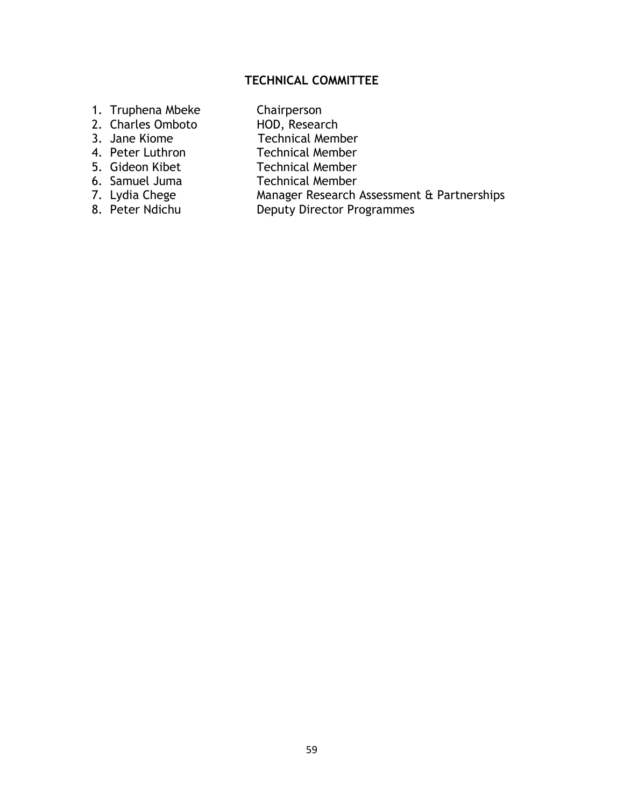## **TECHNICAL COMMITTEE**

- 
- 
- 2. Charles Omboto
- 
- 
- 5. Gideon Kibet Technical Member
- 6. Samuel Juma Technical Member
- 
- 
- <span id="page-66-0"></span>1. Truphena Mbeke Chairperson<br>2. Charles Omboto HOD, Research
- 3. Jane Kiome Technical Member
- 4. Peter Luthron Technical Member
	-
	-
	-
- 7. Lydia Chege Manager Research Assessment & Partnerships<br>8. Peter Ndichu Deputy Director Programmes
	- **Deputy Director Programmes**